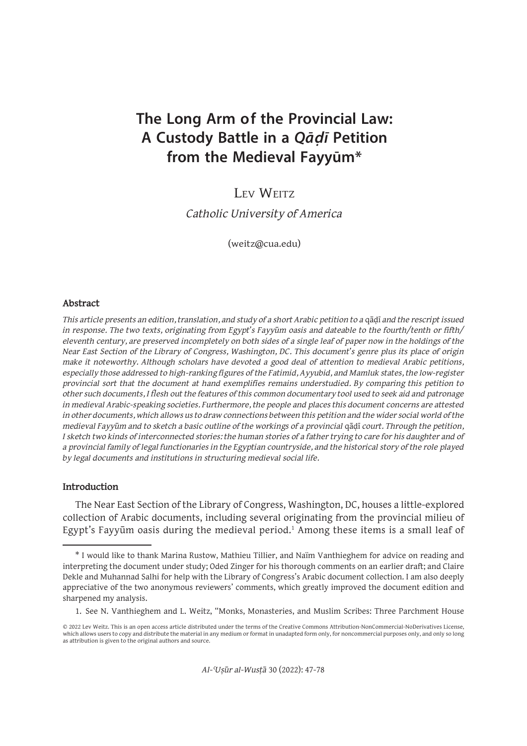# **The Long Arm of the Provincial Law: A Custody Battle in a Qāḍī Petition from the Medieval Fayyūm\***

# LEV WEITZ

*Catholic University of America*

(weitz@cua.edu)

#### **Abstract**

*This article presents an edition, translation, and study of a short Arabic petition to a qādī and the rescript issued in response. The two texts, originating from Egypt's Fayyūm oasis and dateable to the fourth/tenth or fifth/ eleventh century, are preserved incompletely on both sides of a single leaf of paper now in the holdings of the Near East Section of the Library of Congress, Washington, DC. This document's genre plus its place of origin make it noteworthy. Although scholars have devoted a good deal of attention to medieval Arabic petitions, especially those addressed to high-ranking figures of the Fatimid, Ayyubid, and Mamluk states, the low-register provincial sort that the document at hand exemplifies remains understudied. By comparing this petition to other such documents, I flesh out the features of this common documentary tool used to seek aid and patronage in medieval Arabic-speaking societies. Furthermore, the people and places this document concerns are attested in other documents, which allows us to draw connections between this petition and the wider social world of the medieval Fayyūm and to sketch a basic outline of the workings of a provincial* qāḍī *court. Through the petition, I sketch two kinds of interconnected stories: the human stories of a father trying to care for his daughter and of a provincial family of legal functionaries in the Egyptian countryside, and the historical story of the role played by legal documents and institutions in structuring medieval social life.*

#### **Introduction**

The Near East Section of the Library of Congress, Washington, DC, houses a little-explored collection of Arabic documents, including several originating from the provincial milieu of Egypt's Fayyūm oasis during the medieval period.<sup>1</sup> Among these items is a small leaf of

<sup>\*</sup> I would like to thank Marina Rustow, Mathieu Tillier, and Naïm Vanthieghem for advice on reading and interpreting the document under study; Oded Zinger for his thorough comments on an earlier draft; and Claire Dekle and Muhannad Salhi for help with the Library of Congress's Arabic document collection. I am also deeply appreciative of the two anonymous reviewers' comments, which greatly improved the document edition and sharpened my analysis.

<sup>1.</sup> See N. Vanthieghem and L. Weitz, "Monks, Monasteries, and Muslim Scribes: Three Parchment House

<sup>© 2022</sup> Lev Weitz. This is an open access article distributed under the terms of the Creative Commons Attribution-NonCommercial-NoDerivatives License, which allows users to copy and distribute the material in any medium or format in unadapted form only, for noncommercial purposes only, and only so long as attribution is given to the original authors and source.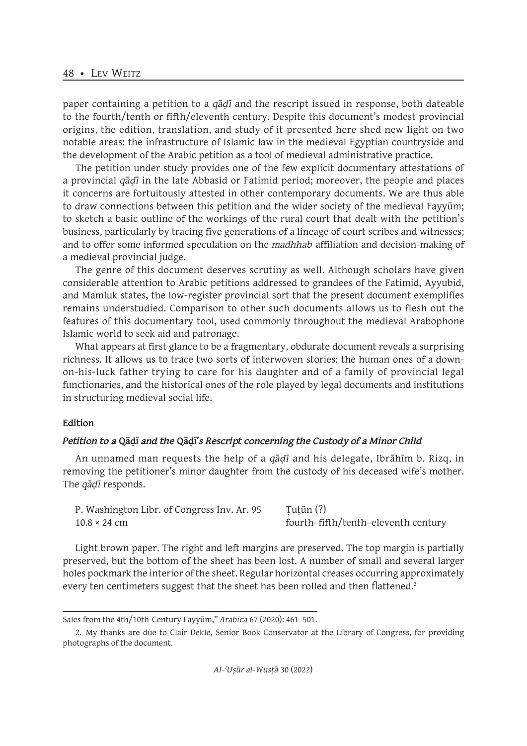### 48 • LEV WEITZ

paper containing a petition to a *qāḍī* and the rescript issued in response, both dateable to the fourth/tenth or fifth/eleventh century. Despite this document's modest provincial origins, the edition, translation, and study of it presented here shed new light on two notable areas: the infrastructure of Islamic law in the medieval Egyptian countryside and the development of the Arabic petition as a tool of medieval administrative practice.

The petition under study provides one of the few explicit documentary attestations of a provincial *qāḍī* in the late Abbasid or Fatimid period; moreover, the people and places it concerns are fortuitously attested in other contemporary documents. We are thus able to draw connections between this petition and the wider society of the medieval Fayyūm; to sketch a basic outline of the workings of the rural court that dealt with the petition's business, particularly by tracing five generations of a lineage of court scribes and witnesses; and to offer some informed speculation on the *madhhab* affiliation and decision-making of a medieval provincial judge.

The genre of this document deserves scrutiny as well. Although scholars have given considerable attention to Arabic petitions addressed to grandees of the Fatimid, Ayyubid, and Mamluk states, the low-register provincial sort that the present document exemplifies remains understudied. Comparison to other such documents allows us to flesh out the features of this documentary tool, used commonly throughout the medieval Arabophone Islamic world to seek aid and patronage.

What appears at first glance to be a fragmentary, obdurate document reveals a surprising richness. It allows us to trace two sorts of interwoven stories: the human ones of a downon-his-luck father trying to care for his daughter and of a family of provincial legal functionaries, and the historical ones of the role played by legal documents and institutions in structuring medieval social life.

#### **Edition**

#### *Petition to a* **Qāḍī** *and the* **Qāḍī***'s Rescript concerning the Custody of a Minor Child*

An unnamed man requests the help of a *qāḍī* and his delegate, Ibrāhīm b. Rizq, in removing the petitioner's minor daughter from the custody of his deceased wife's mother. The *qāḍī* responds.

P. Washington Libr. of Congress Inv. Ar. 95 Tutūn (?)  $10.8 \times 24$  cm fourth–fifth/tenth–eleventh century

Light brown paper. The right and left margins are preserved. The top margin is partially preserved, but the bottom of the sheet has been lost. A number of small and several larger holes pockmark the interior of the sheet. Regular horizontal creases occurring approximately every ten centimeters suggest that the sheet has been rolled and then flattened.<sup>2</sup>

Sales from the 4th/10th-Century Fayyūm," *Arabica* 67 (2020): 461–501.

<sup>2.</sup> My thanks are due to Clair Dekle, Senior Book Conservator at the Library of Congress, for providing photographs of the document.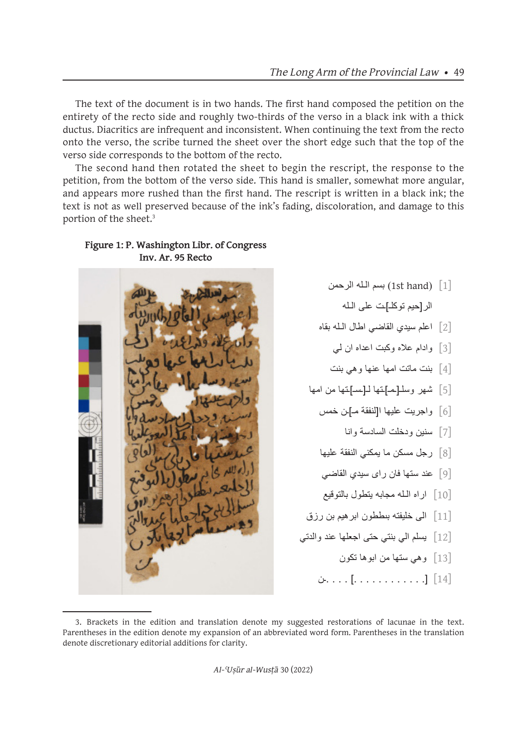The text of the document is in two hands. The first hand composed the petition on the entirety of the recto side and roughly two-thirds of the verso in a black ink with a thick ductus. Diacritics are infrequent and inconsistent. When continuing the text from the recto onto the verso, the scribe turned the sheet over the short edge such that the top of the verso side corresponds to the bottom of the recto.

The second hand then rotated the sheet to begin the rescript, the response to the petition, from the bottom of the verso side. This hand is smaller, somewhat more angular, and appears more rushed than the first hand. The rescript is written in a black ink; the text is not as well preserved because of the ink's fading, discoloration, and damage to this portion of the sheet.<sup>3</sup>



**Figure 1: P. Washington Libr. of Congress Inv. Ar. 95 Recto**

- بسم الله الرحمن (1st hand)  $\lceil 1 \rceil$ الر]حيم توكلـ[ـت على الـله
- ]2[ اعلم سيدي القاضي اطال الـله بقاه
	- ]3[ وادام عاله وكبت اعداه ان لي
	- ]4[ بنت ماتت امها عنها وهي بنت
- ]5[ شهر وسلـ]ـمـ[ـتها لـ]ـسـ[ـتها من امها
	- ]6[ واجريت عليها ا]لنفقة مـ[ـن خمس
		- ]7[ سنين ودخلت السادسة وانا
	- ]8[ رجل مسكن ما يمكني النفقة عليها
	- ]9[ عند ستها فان راى سيدي القاضي
	- ]10[ اراه الـله مجابه يتطول بالتوقيع
- ]11[ الى خليفته بىططون ابرهيم بن رزق
- ]12[ يسلم الي بنتي حتى اجعلها عند والدتي
	- ]13[ وهي ستها من ابوها تكون
	- ]14[ ]. . . . . . . . . . . .[ . . . .ـن

*Al-ʿUṣūr al-Wusṭā* 30 (2022)

<sup>3.</sup> Brackets in the edition and translation denote my suggested restorations of lacunae in the text. Parentheses in the edition denote my expansion of an abbreviated word form. Parentheses in the translation denote discretionary editorial additions for clarity.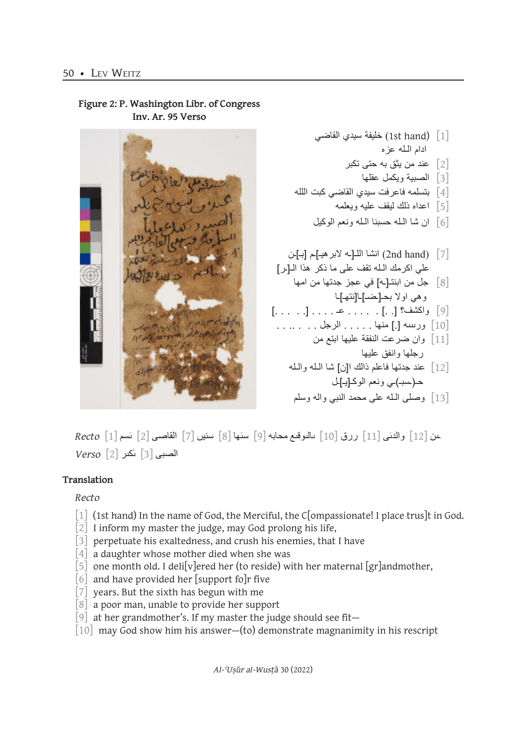

**Figure 2: P. Washington Libr. of Congress Inv. Ar. 95 Verso**

 $\emph{Red}$ و والدنى [11] ررق [10] بالنوقيع محابه [9] سنها [8] سنين [7] القاصى [2] نَسم [1] Recto الصبى [3] ٰىكىر [2] *Verso*

# **Translation**

# *Recto*

- [1] (1st hand) In the name of God, the Merciful, the C[ompassionate! I place trus]t in God.
- $\lceil 2 \rceil$  I inform my master the judge, may God prolong his life,
- [3] perpetuate his exaltedness, and crush his enemies, that I have
- [4] a daughter whose mother died when she was
- $\lceil 5 \rceil$  one month old. I delisy lered her (to reside) with her maternal  $\lceil \text{gr} \rceil$  and mother,
- [6] and have provided her [support fo]r five
- $\begin{bmatrix} 7 \end{bmatrix}$  years. But the sixth has begun with me
- [8] a poor man, unable to provide her support
- [9] at her grandmother's. If my master the judge should see fit—
- $\begin{bmatrix} 10 \end{bmatrix}$  may God show him his answer—(to) demonstrate magnanimity in his rescript

*Al-ʿUṣūr al-Wusṭā* 30 (2022)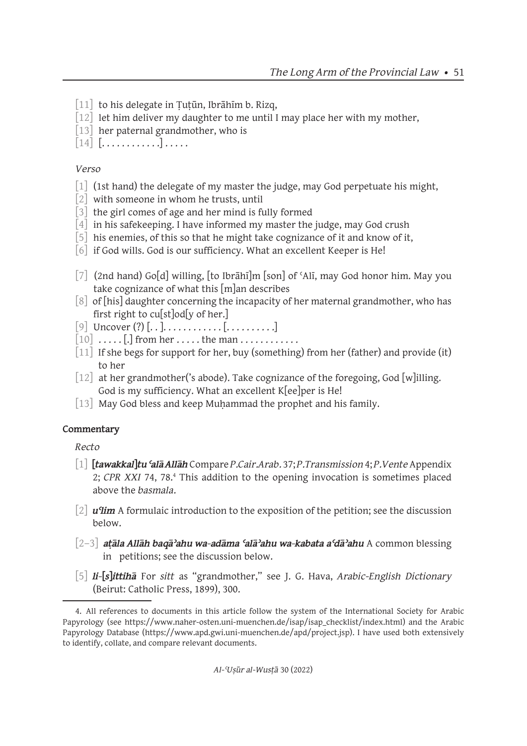- $\begin{bmatrix} 11 \end{bmatrix}$  to his delegate in Tutūn, Ibrāhīm b. Rizq,
- $\lceil 12 \rceil$  let him deliver my daughter to me until I may place her with my mother,
- [13] her paternal grandmother, who is
- $\begin{bmatrix} 14 \end{bmatrix}$   $\begin{bmatrix} \dots \dots \dots \end{bmatrix}$

# *Verso*

- [1] (1st hand) the delegate of my master the judge, may God perpetuate his might,
- $\begin{bmatrix} 2 \end{bmatrix}$  with someone in whom he trusts, until
- [3] the girl comes of age and her mind is fully formed
- [4] in his safekeeping. I have informed my master the judge, may God crush
- [5] his enemies, of this so that he might take cognizance of it and know of it,
- $\lceil 6 \rceil$  if God wills. God is our sufficiency. What an excellent Keeper is He!
- [7] (2nd hand) Go[d] willing, [to Ibrāhī]m [son] of ʿAlī, may God honor him. May you take cognizance of what this [m]an describes
- [8] of [his] daughter concerning the incapacity of her maternal grandmother, who has first right to cu[st]od[y of her.]
- [9] Uncover (?) [. . ]. . . . . . . . . . . . [. . . . . . . . . .]
- $\begin{bmatrix} 10 \end{bmatrix}$  ..... [.] from her ..... the man ...........
- [11] If she begs for support for her, buy (something) from her (father) and provide (it) to her
- [12] at her grandmother('s abode). Take cognizance of the foregoing, God [w]illing. God is my sufficiency. What an excellent K[ee]per is He!
- [13] May God bless and keep Muhammad the prophet and his family.

# **Commentary**

*Recto*

- [1] **[***tawakkal***]***tu ʿalā Allāh* Compare *P.Cair.Arab.* 37; *P.Transmission* 4; *P.Vente* Appendix 2; CPR XXI 74, 78.<sup>4</sup> This addition to the opening invocation is sometimes placed above the *basmala*.
- [2] *u<sup>q</sup>im* A formulaic introduction to the exposition of the petition; see the discussion below.
- [2–3] *aṭāla Allāh baqāʾahu wa-adāma ʿalāʾahu wa-kabata aʿdāʾahu* A common blessing in petitions; see the discussion below.
- [5] *li-***[***s***]***ittihā* For *sitt* as "grandmother," see J. G. Hava, *Arabic-English Dictionary* (Beirut: Catholic Press, 1899), 300.

<sup>4.</sup> All references to documents in this article follow the system of the International Society for Arabic Papyrology (see https://www.naher-osten.uni-muenchen.de/isap/isap\_checklist/index.html) and the Arabic Papyrology Database (https://www.apd.gwi.uni-muenchen.de/apd/project.jsp). I have used both extensively to identify, collate, and compare relevant documents.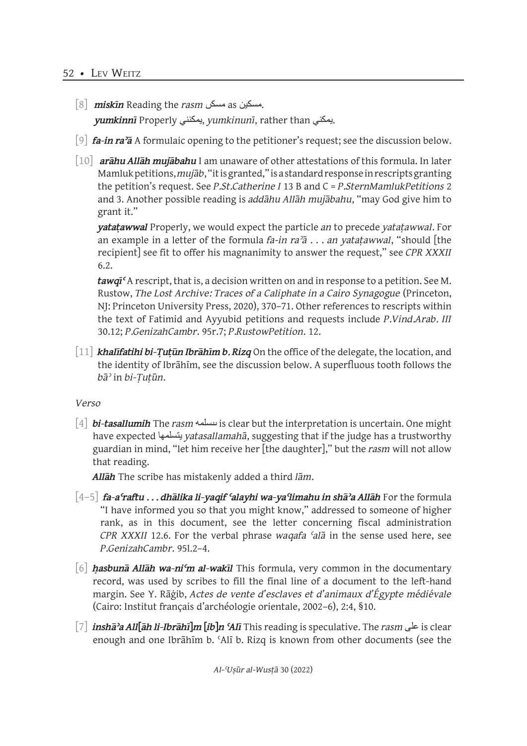- [8] *miskīn* Reading the *rasm* مسكں as مسكين. *yumkinnī* Properly يمكنني, *yumkinunī*, rather than يمكني.
- [9] *fa-in raʾā* A formulaic opening to the petitioner's request; see the discussion below.
- [10] *arāhu Allāh mujābahu* I am unaware of other attestations of this formula. In later Mamluk petitions, *mujāb*, "it is granted," is a standard response in rescripts granting the petition's request. See *P.St.Catherine I* 13 B and C = *P.SternMamlukPetitions* 2 and 3. Another possible reading is *addāhu Allāh mujābahu*, "may God give him to grant it."

*yataṭawwal* Properly, we would expect the particle *an* to precede *yataṭawwal*. For an example in a letter of the formula *fa-in raʾā* . . . *an yataṭawwal*, "should [the recipient] see fit to offer his magnanimity to answer the request," see *CPR XXXII* 6.2.

*tawqīʿ* A rescript, that is, a decision written on and in response to a petition. See M. Rustow, *The Lost Archive: Traces of a Caliphate in a Cairo Synagogue* (Princeton, NJ: Princeton University Press, 2020), 370–71. Other references to rescripts within the text of Fatimid and Ayyubid petitions and requests include *P.Vind.Arab. III* 30.12; *P.GenizahCambr.* 95r.7; *P.RustowPetition*. 12.

[11] *khalīfatihi bi-Ṭuṭūn Ibrāhīm b. Rizq* On the office of the delegate, the location, and the identity of Ibrāhīm, see the discussion below. A superfluous tooth follows the *bāʾ* in *bi-Ṭuṭūn*.

*Verso*

[4] *bi-tasallumih* The *rasm* ىىسلمه is clear but the interpretation is uncertain. One might have expected يتسلمها *yatasallamahā*, suggesting that if the judge has a trustworthy guardian in mind, "let him receive her [the daughter]," but the *rasm* will not allow that reading.

*Allāh* The scribe has mistakenly added a third *lām*.

- [4–5] *fa-aʿraftu . . . dhālika li-yaqif ʿalayhi wa-yaʿlimahu in shāʾa Allāh* For the formula "I have informed you so that you might know," addressed to someone of higher rank, as in this document, see the letter concerning fiscal administration *CPR XXXII* 12.6. For the verbal phrase *waqafa ʿalā* in the sense used here, see *P.GenizahCambr.* 95l.2–4.
- [6] *ḥasbunā Allāh wa-niʿm al-wakīl* This formula, very common in the documentary record, was used by scribes to fill the final line of a document to the left-hand margin. See Y. Rāġib, *Actes de vente d'esclaves et d'animaux d'Égypte médiévale* (Cairo: Institut français d'archéologie orientale, 2002–6), 2:4, §10.
- [7] *inshāʾa All***[***āh li-Ibrāhī***]***m* **[***ib***]***n ʿAlī* This reading is speculative. The *rasm* على is clear enough and one Ibrāhīm b. ʿAlī b. Rizq is known from other documents (see the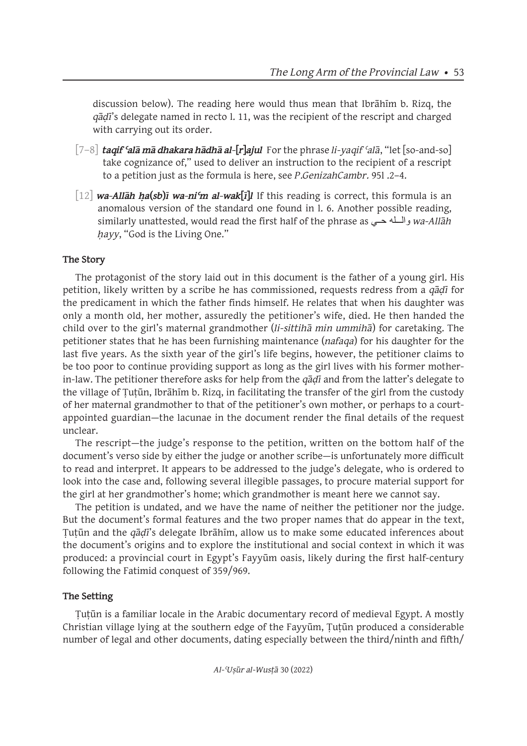discussion below). The reading here would thus mean that Ibrāhīm b. Rizq, the *qāḍī*'s delegate named in recto l. 11, was the recipient of the rescript and charged with carrying out its order.

- [7–8] *taqif ʿalā mā dhakara hādhā al-***[***r***]***ajul* For the phrase *li-yaqif ʿalā*, "let [so-and-so] take cognizance of," used to deliver an instruction to the recipient of a rescript to a petition just as the formula is here, see *P.GenizahCambr.* 95l .2–4.
- [12] *wa-Allāh ḥa***(***sb***)***ī wa-niʿm al-wak***[***ī***]***l* If this reading is correct, this formula is an anomalous version of the standard one found in l. 6. Another possible reading, similarly unattested, would read the first half of the phrase as حــي والـــله *wa-Allāh ḥayy*, "God is the Living One."

# **The Story**

The protagonist of the story laid out in this document is the father of a young girl. His petition, likely written by a scribe he has commissioned, requests redress from a *qāḍī* for the predicament in which the father finds himself. He relates that when his daughter was only a month old, her mother, assuredly the petitioner's wife, died. He then handed the child over to the girl's maternal grandmother (*li-sittihā min ummihā*) for caretaking. The petitioner states that he has been furnishing maintenance (*nafaqa*) for his daughter for the last five years. As the sixth year of the girl's life begins, however, the petitioner claims to be too poor to continue providing support as long as the girl lives with his former motherin-law. The petitioner therefore asks for help from the *qāḍī* and from the latter's delegate to the village of Tutūn, Ibrāhīm b. Rizq, in facilitating the transfer of the girl from the custody of her maternal grandmother to that of the petitioner's own mother, or perhaps to a courtappointed guardian—the lacunae in the document render the final details of the request unclear.

The rescript—the judge's response to the petition, written on the bottom half of the document's verso side by either the judge or another scribe—is unfortunately more difficult to read and interpret. It appears to be addressed to the judge's delegate, who is ordered to look into the case and, following several illegible passages, to procure material support for the girl at her grandmother's home; which grandmother is meant here we cannot say.

The petition is undated, and we have the name of neither the petitioner nor the judge. But the document's formal features and the two proper names that do appear in the text, Ṭuṭūn and the *qāḍī*'s delegate Ibrāhīm, allow us to make some educated inferences about the document's origins and to explore the institutional and social context in which it was produced: a provincial court in Egypt's Fayyūm oasis, likely during the first half-century following the Fatimid conquest of 359/969.

# **The Setting**

Ṭuṭūn is a familiar locale in the Arabic documentary record of medieval Egypt. A mostly Christian village lying at the southern edge of the Fayyūm, Ṭuṭūn produced a considerable number of legal and other documents, dating especially between the third/ninth and fifth/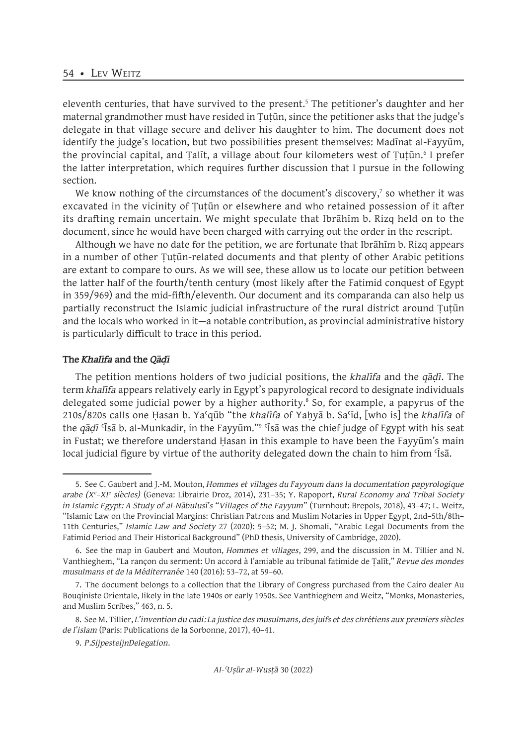eleventh centuries, that have survived to the present.<sup>5</sup> The petitioner's daughter and her maternal grandmother must have resided in Tutūn, since the petitioner asks that the judge's delegate in that village secure and deliver his daughter to him. The document does not identify the judge's location, but two possibilities present themselves: Madīnat al-Fayyūm, the provincial capital, and Ṭalīt, a village about four kilometers west of Ṭuṭūn.<sup>6</sup> I prefer the latter interpretation, which requires further discussion that I pursue in the following section.

We know nothing of the circumstances of the document's discovery, $\bar{\ }$  so whether it was excavated in the vicinity of Ṭuṭūn or elsewhere and who retained possession of it after its drafting remain uncertain. We might speculate that Ibrāhīm b. Rizq held on to the document, since he would have been charged with carrying out the order in the rescript.

Although we have no date for the petition, we are fortunate that Ibrāhīm b. Rizq appears in a number of other Ṭuṭūn-related documents and that plenty of other Arabic petitions are extant to compare to ours. As we will see, these allow us to locate our petition between the latter half of the fourth/tenth century (most likely after the Fatimid conquest of Egypt in 359/969) and the mid-fifth/eleventh. Our document and its comparanda can also help us partially reconstruct the Islamic judicial infrastructure of the rural district around Tutūn and the locals who worked in it—a notable contribution, as provincial administrative history is particularly difficult to trace in this period.

#### **The** *Khalīfa* **and the** *Qāḍī*

The petition mentions holders of two judicial positions, the *khalīfa* and the *qāḍī*. The term *khalīfa* appears relatively early in Egypt's papyrological record to designate individuals delegated some judicial power by a higher authority.<sup>8</sup> So, for example, a papyrus of the 210s/820s calls one Ḥasan b. Yaʿqūb "the *khalīfa* of Yaḥyā b. Saʿīd, [who is] the *khalīfa* of the *qāḍī* ʿĪsā b. al-Munkadir, in the Fayyūm."<sup>9</sup> ʿĪsā was the chief judge of Egypt with his seat in Fustat; we therefore understand Hasan in this example to have been the Fayyum's main local judicial figure by virtue of the authority delegated down the chain to him from 'Isa.

<sup>5.</sup> See C. Gaubert and J.-M. Mouton, *Hommes et villages du Fayyoum dans la documentation papyrologique arabe (Xe –XIe siècles)* (Geneva: Librairie Droz, 2014), 231–35; Y. Rapoport, *Rural Economy and Tribal Society in Islamic Egypt: A Study of al-Nābulusī's "Villages of the Fayyum"* (Turnhout: Brepols, 2018), 43–47; L. Weitz, "Islamic Law on the Provincial Margins: Christian Patrons and Muslim Notaries in Upper Egypt, 2nd–5th/8th– 11th Centuries," *Islamic Law and Society* 27 (2020): 5–52; M. J. Shomali, "Arabic Legal Documents from the Fatimid Period and Their Historical Background" (PhD thesis, University of Cambridge, 2020).

<sup>6.</sup> See the map in Gaubert and Mouton, *Hommes et villages*, 299, and the discussion in M. Tillier and N. Vanthieghem, "La rançon du serment: Un accord à l'amiable au tribunal fatimide de Ṭalīt," *Revue des mondes musulmans et de la Méditerranée* 140 (2016): 53–72, at 59–60.

<sup>7.</sup> The document belongs to a collection that the Library of Congress purchased from the Cairo dealer Au Bouqiniste Orientale, likely in the late 1940s or early 1950s. See Vanthieghem and Weitz, "Monks, Monasteries, and Muslim Scribes," 463, n. 5.

<sup>8.</sup> See M. Tillier, *L'invention du cadi: La justice des musulmans, des juifs et des chrétiens aux premiers siècles de l'islam* (Paris: Publications de la Sorbonne, 2017), 40–41.

<sup>9.</sup> *P.SijpesteijnDelegation*.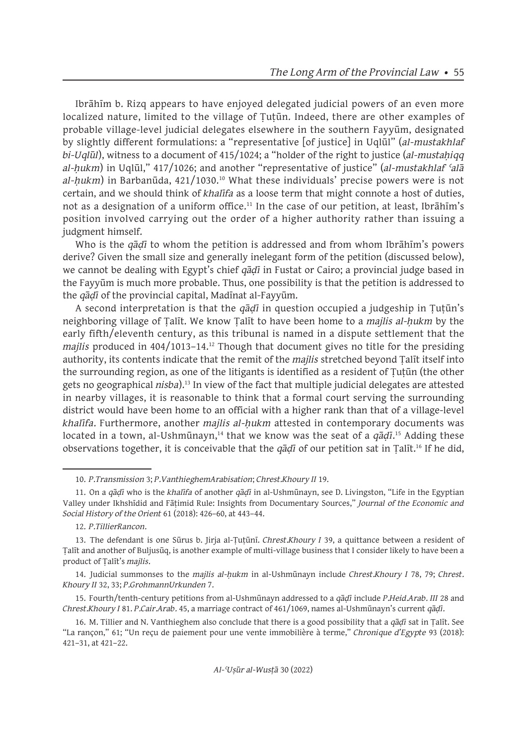Ibrāhīm b. Rizq appears to have enjoyed delegated judicial powers of an even more localized nature, limited to the village of Ṭuṭūn. Indeed, there are other examples of probable village-level judicial delegates elsewhere in the southern Fayyūm, designated by slightly different formulations: a "representative [of justice] in Uqlūl" (*al-mustakhlaf bi-Uqlūl*), witness to a document of 415/1024; a "holder of the right to justice (*al-mustaḥiqq al-ḥukm*) in Uqlūl," 417/1026; and another "representative of justice" (*al-mustakhlaf ʿalā*  al-hukm) in Barbanūda, 421/1030.<sup>10</sup> What these individuals' precise powers were is not certain, and we should think of *khalīfa* as a loose term that might connote a host of duties, not as a designation of a uniform office.<sup>11</sup> In the case of our petition, at least, Ibrāhīm's position involved carrying out the order of a higher authority rather than issuing a judgment himself.

Who is the *qāḍī* to whom the petition is addressed and from whom Ibrāhīm's powers derive? Given the small size and generally inelegant form of the petition (discussed below), we cannot be dealing with Egypt's chief *qāḍī* in Fustat or Cairo; a provincial judge based in the Fayyūm is much more probable. Thus, one possibility is that the petition is addressed to the *qāḍī* of the provincial capital, Madīnat al-Fayyūm.

A second interpretation is that the *qāḍī* in question occupied a judgeship in Ṭuṭūn's neighboring village of Ṭalīt. We know Ṭalīt to have been home to a *majlis al-ḥukm* by the early fifth/eleventh century, as this tribunal is named in a dispute settlement that the *majlis* produced in 404/1013–14.12 Though that document gives no title for the presiding authority, its contents indicate that the remit of the *majlis* stretched beyond Ṭalīt itself into the surrounding region, as one of the litigants is identified as a resident of Ṭuṭūn (the other gets no geographical *nisba*).13 In view of the fact that multiple judicial delegates are attested in nearby villages, it is reasonable to think that a formal court serving the surrounding district would have been home to an official with a higher rank than that of a village-level *khalīfa*. Furthermore, another *majlis al-ḥukm* attested in contemporary documents was located in a town, al-Ushmūnayn,<sup>14</sup> that we know was the seat of a *qāḍī*.<sup>15</sup> Adding these observations together, it is conceivable that the *qāḍī* of our petition sat in Ṭalīt.16 If he did,

12. *P.TillierRancon*.

<sup>10.</sup> *P.Transmission* 3; *P.VanthieghemArabisation*; *Chrest.Khoury II* 19.

<sup>11.</sup> On a *qāḍī* who is the *khalīfa* of another *qāḍī* in al-Ushmūnayn, see D. Livingston, "Life in the Egyptian Valley under Ikhshīdid and Fāṭimid Rule: Insights from Documentary Sources," *Journal of the Economic and Social History of the Orient* 61 (2018): 426–60, at 443–44.

<sup>13.</sup> The defendant is one Sūrus b. Jirja al-Ṭuṭūnī. *Chrest.Khoury I* 39, a quittance between a resident of Ṭalīt and another of Buljusūq, is another example of multi-village business that I consider likely to have been a product of Ṭalīt's *majlis*.

<sup>14.</sup> Judicial summonses to the *majlis al-ḥukm* in al-Ushmūnayn include *Chrest.Khoury I* 78, 79; *Chrest. Khoury II* 32, 33; *P.GrohmannUrkunden* 7.

<sup>15.</sup> Fourth/tenth-century petitions from al-Ushmūnayn addressed to a *qāḍī* include *P.Heid.Arab. III* 28 and *Chrest.Khoury I* 81. *P.Cair.Arab.* 45, a marriage contract of 461/1069, names al-Ushmūnayn's current *qāḍī*.

<sup>16.</sup> M. Tillier and N. Vanthieghem also conclude that there is a good possibility that a *qāḍī* sat in Ṭalīt. See "La rançon," 61; "Un reçu de paiement pour une vente immobilière à terme," *Chronique d'Egypte* 93 (2018): 421–31, at 421–22.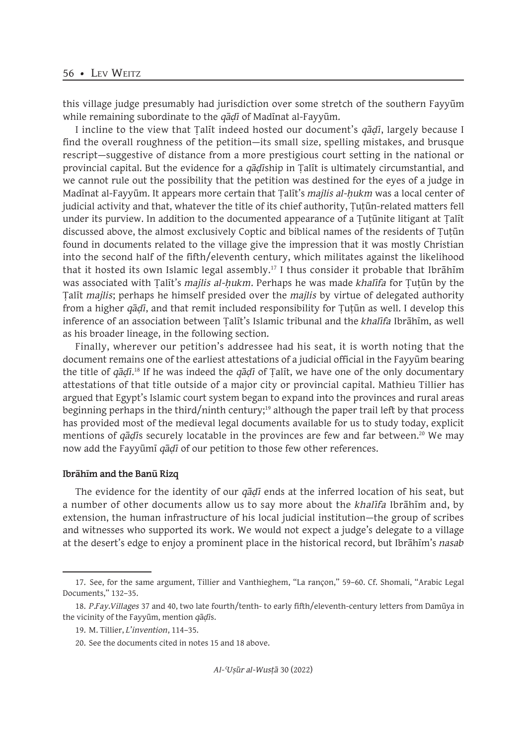this village judge presumably had jurisdiction over some stretch of the southern Fayyūm while remaining subordinate to the *qāḍī* of Madīnat al-Fayyūm.

I incline to the view that Ṭalīt indeed hosted our document's *qāḍī*, largely because I find the overall roughness of the petition—its small size, spelling mistakes, and brusque rescript—suggestive of distance from a more prestigious court setting in the national or provincial capital. But the evidence for a *qāḍī*ship in Ṭalīt is ultimately circumstantial, and we cannot rule out the possibility that the petition was destined for the eyes of a judge in Madīnat al-Fayyūm. It appears more certain that Ṭalīt's *majlis al-ḥukm* was a local center of judicial activity and that, whatever the title of its chief authority, Ṭuṭūn-related matters fell under its purview. In addition to the documented appearance of a Ṭuṭūnite litigant at Ṭalīt discussed above, the almost exclusively Coptic and biblical names of the residents of Ṭuṭūn found in documents related to the village give the impression that it was mostly Christian into the second half of the fifth/eleventh century, which militates against the likelihood that it hosted its own Islamic legal assembly.<sup>17</sup> I thus consider it probable that Ibrahim was associated with Ṭalīt's *majlis al-ḥukm*. Perhaps he was made *khalīfa* for Ṭuṭūn by the Ṭalīt *majlis*; perhaps he himself presided over the *majlis* by virtue of delegated authority from a higher *qāḍī*, and that remit included responsibility for Ṭuṭūn as well. I develop this inference of an association between Ṭalīt's Islamic tribunal and the *khalīfa* Ibrāhīm, as well as his broader lineage, in the following section.

Finally, wherever our petition's addressee had his seat, it is worth noting that the document remains one of the earliest attestations of a judicial official in the Fayyūm bearing the title of *qāḍī*. 18 If he was indeed the *qāḍī* of Ṭalīt, we have one of the only documentary attestations of that title outside of a major city or provincial capital. Mathieu Tillier has argued that Egypt's Islamic court system began to expand into the provinces and rural areas beginning perhaps in the third/ninth century;<sup>19</sup> although the paper trail left by that process has provided most of the medieval legal documents available for us to study today, explicit mentions of *qāḍīs* securely locatable in the provinces are few and far between.<sup>20</sup> We may now add the Fayyūmī *qāḍī* of our petition to those few other references.

#### **Ibrāhīm and the Banū Rizq**

The evidence for the identity of our *qāḍī* ends at the inferred location of his seat, but a number of other documents allow us to say more about the *khalīfa* Ibrāhīm and, by extension, the human infrastructure of his local judicial institution—the group of scribes and witnesses who supported its work. We would not expect a judge's delegate to a village at the desert's edge to enjoy a prominent place in the historical record, but Ibrāhīm's *nasab*

<sup>17.</sup> See, for the same argument, Tillier and Vanthieghem, "La rançon," 59–60. Cf. Shomali, "Arabic Legal Documents," 132–35.

<sup>18.</sup> *P.Fay.Villages* 37 and 40, two late fourth/tenth- to early fifth/eleventh-century letters from Damūya in the vicinity of the Fayyūm, mention *qāḍī*s.

<sup>19.</sup> M. Tillier, *L'invention*, 114–35.

<sup>20.</sup> See the documents cited in notes 15 and 18 above.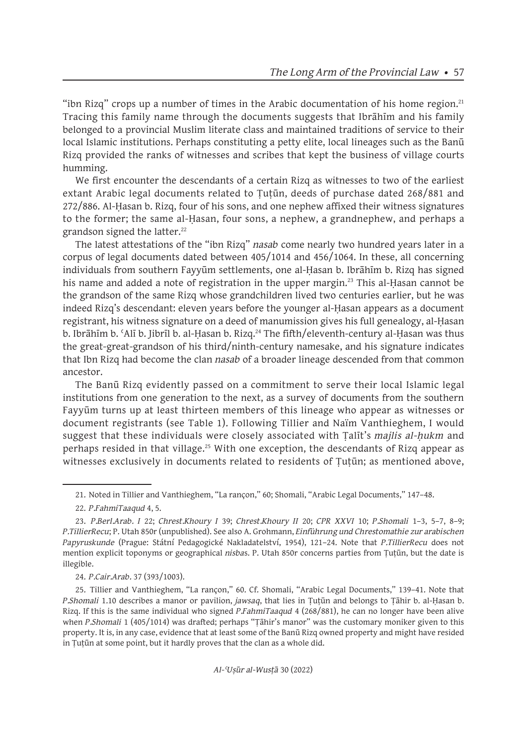"ibn Rizq" crops up a number of times in the Arabic documentation of his home region.<sup>21</sup> Tracing this family name through the documents suggests that Ibrāhīm and his family belonged to a provincial Muslim literate class and maintained traditions of service to their local Islamic institutions. Perhaps constituting a petty elite, local lineages such as the Banū Rizq provided the ranks of witnesses and scribes that kept the business of village courts humming.

We first encounter the descendants of a certain Rizq as witnesses to two of the earliest extant Arabic legal documents related to Tutūn, deeds of purchase dated 268/881 and 272/886. Al-Ḥasan b. Rizq, four of his sons, and one nephew affixed their witness signatures to the former; the same al-Ḥasan, four sons, a nephew, a grandnephew, and perhaps a grandson signed the latter.<sup>22</sup>

The latest attestations of the "ibn Rizq" *nasab* come nearly two hundred years later in a corpus of legal documents dated between 405/1014 and 456/1064. In these, all concerning individuals from southern Fayyūm settlements, one al-Ḥasan b. Ibrāhīm b. Rizq has signed his name and added a note of registration in the upper margin.<sup>23</sup> This al-Hasan cannot be the grandson of the same Rizq whose grandchildren lived two centuries earlier, but he was indeed Rizq's descendant: eleven years before the younger al-Ḥasan appears as a document registrant, his witness signature on a deed of manumission gives his full genealogy, al-Ḥasan b. Ibrāhīm b. 'Alī b. Jibrīl b. al-Ḥasan b. Rizq.<sup>24</sup> The fifth/eleventh-century al-Ḥasan was thus the great-great-grandson of his third/ninth-century namesake, and his signature indicates that Ibn Rizq had become the clan *nasab* of a broader lineage descended from that common ancestor.

The Banū Rizq evidently passed on a commitment to serve their local Islamic legal institutions from one generation to the next, as a survey of documents from the southern Fayyūm turns up at least thirteen members of this lineage who appear as witnesses or document registrants (see Table 1). Following Tillier and Naïm Vanthieghem, I would suggest that these individuals were closely associated with Ṭalīt's *majlis al-ḥukm* and perhaps resided in that village.<sup>25</sup> With one exception, the descendants of Rizq appear as witnesses exclusively in documents related to residents of Tutūn; as mentioned above,

21. Noted in Tillier and Vanthieghem, "La rançon," 60; Shomali, "Arabic Legal Documents," 147–48.

#### 24. *P.Cair.Arab.* 37 (393/1003).

25. Tillier and Vanthieghem, "La rançon," 60. Cf. Shomali, "Arabic Legal Documents," 139–41. Note that *P.Shomali* 1.10 describes a manor or pavilion, *jawsaq*, that lies in Ṭuṭūn and belongs to Ṭāhir b. al-Ḥasan b. Rizq. If this is the same individual who signed *P.FahmiTaaqud* 4 (268/881), he can no longer have been alive when *P.Shomali* 1 (405/1014) was drafted; perhaps "Ṭāhir's manor" was the customary moniker given to this property. It is, in any case, evidence that at least some of the Banū Rizq owned property and might have resided in Ṭuṭūn at some point, but it hardly proves that the clan as a whole did.

<sup>22.</sup> *P.FahmiTaaqud* 4, 5.

<sup>23.</sup> *P.Berl.Arab. I* 22; *Chrest.Khoury I* 39; *Chrest.Khoury II* 20; *CPR XXVI* 10; *P.Shomali* 1–3, 5–7, 8–9; *P.TillierRecu*; P. Utah 850r (unpublished). See also A. Grohmann, *Einführung und Chrestomathie zur arabischen Papyruskunde* (Prague: Státní Pedagogické Nakladatelství, 1954), 121–24. Note that *P.TillierRecu* does not mention explicit toponyms or geographical *nisba*s. P. Utah 850r concerns parties from Ṭuṭūn, but the date is illegible.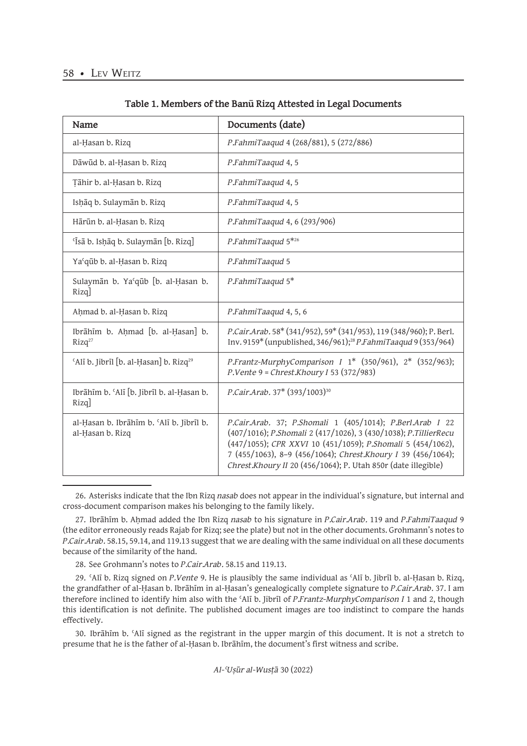| Name                                                         | Documents (date)                                                                                                                                                                                                                                                                                                             |
|--------------------------------------------------------------|------------------------------------------------------------------------------------------------------------------------------------------------------------------------------------------------------------------------------------------------------------------------------------------------------------------------------|
| al-Hasan b. Rizq                                             | P.FahmiTaaqud 4 (268/881), 5 (272/886)                                                                                                                                                                                                                                                                                       |
| Dāwūd b. al-Ḥasan b. Rizq                                    | P.FahmiTaaqud 4, 5                                                                                                                                                                                                                                                                                                           |
| Țāhir b. al-Ḥasan b. Rizq                                    | P.FahmiTaaqud 4, 5                                                                                                                                                                                                                                                                                                           |
| Ishāq b. Sulaymān b. Rizq                                    | P.FahmiTaaqud 4, 5                                                                                                                                                                                                                                                                                                           |
| Hārūn b. al-Hasan b. Rizq                                    | P.FahmiTaaqud 4, 6 (293/906)                                                                                                                                                                                                                                                                                                 |
| 'Īsā b. Ishāq b. Sulaymān [b. Rizq]                          | P.FahmiTaaqud 5 <sup>*26</sup>                                                                                                                                                                                                                                                                                               |
| Ya'qūb b. al-Ḥasan b. Rizq                                   | P.FahmiTaaqud 5                                                                                                                                                                                                                                                                                                              |
| Sulaymān b. Ya'qūb [b. al-Ḥasan b.<br>$Rizq$ ]               | P.FahmiTaaqud 5*                                                                                                                                                                                                                                                                                                             |
| Ahmad b. al-Hasan b. Rizq                                    | P.FahmiTaaqud 4, 5, 6                                                                                                                                                                                                                                                                                                        |
| Ibrāhīm b. Aḥmad [b. al-Ḥasan] b.<br>Rizq <sup>27</sup>      | P.Cair.Arab.58* (341/952), 59* (341/953), 119 (348/960); P.Berl.<br>Inv. 9159* (unpublished, 346/961); <sup>28</sup> <i>P.FahmiTaaqud</i> 9 (353/964)                                                                                                                                                                        |
| 'Alī b. Jibrīl [b. al-Ḥasan] b. Rizq <sup>29</sup>           | P.Frantz-MurphyComparison I $1*$ (350/961), $2*$ (352/963);<br>$P.Vente 9 = Christ.Khoury I 53 (372/983)$                                                                                                                                                                                                                    |
| Ibrāhīm b. 'Alī [b. Jibrīl b. al-Ḥasan b.<br>Rizq]           | P.Cair.Arab. 37* (393/1003) <sup>30</sup>                                                                                                                                                                                                                                                                                    |
| al-Hasan b. Ibrāhīm b. 'Alī b. Jibrīl b.<br>al-Hasan b. Rizq | P.Cair.Arab. 37; P.Shomali 1 (405/1014); P.Berl.Arab I 22<br>(407/1016); P.Shomali 2 (417/1026), 3 (430/1038); P.TillierRecu<br>(447/1055); CPR XXVI 10 (451/1059); P.Shomali 5 (454/1062),<br>7 (455/1063), 8-9 (456/1064); Chrest.Khoury I 39 (456/1064);<br>Chrest.Khoury II 20 (456/1064); P. Utah 850r (date illegible) |

#### **Table 1. Members of the Banū Rizq Attested in Legal Documents**

<sup>26.</sup> Asterisks indicate that the Ibn Rizq *nasab* does not appear in the individual's signature, but internal and cross-document comparison makes his belonging to the family likely.

<sup>27.</sup> Ibrāhīm b. Aḥmad added the Ibn Rizq *nasab* to his signature in *P.Cair.Arab.* 119 and *P.FahmiTaaqud* 9 (the editor erroneously reads Rajab for Rizq; see the plate) but not in the other documents. Grohmann's notes to *P.Cair.Arab.* 58.15, 59.14, and 119.13 suggest that we are dealing with the same individual on all these documents because of the similarity of the hand.

<sup>28.</sup> See Grohmann's notes to *P.Cair.Arab.* 58.15 and 119.13.

<sup>29.</sup> ʿAlī b. Rizq signed on *P.Vente* 9. He is plausibly the same individual as ʿAlī b. Jibrīl b. al-Ḥasan b. Rizq, the grandfather of al-Ḥasan b. Ibrāhīm in al-Ḥasan's genealogically complete signature to *P.Cair.Arab.* 37. I am therefore inclined to identify him also with the ʿAlī b. Jibrīl of *P.Frantz-MurphyComparison I* 1 and 2, though this identification is not definite. The published document images are too indistinct to compare the hands effectively.

<sup>30.</sup> Ibrāhīm b. ʿAlī signed as the registrant in the upper margin of this document. It is not a stretch to presume that he is the father of al-Ḥasan b. Ibrāhīm, the document's first witness and scribe.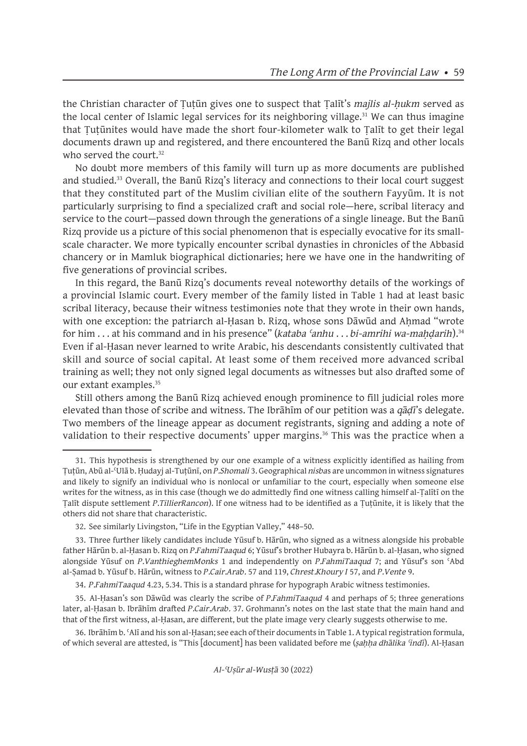the Christian character of Ṭuṭūn gives one to suspect that Ṭalīt's *majlis al-ḥukm* served as the local center of Islamic legal services for its neighboring village.<sup>31</sup> We can thus imagine that Ṭuṭūnites would have made the short four-kilometer walk to Ṭalīt to get their legal documents drawn up and registered, and there encountered the Banū Rizq and other locals who served the court.<sup>32</sup>

No doubt more members of this family will turn up as more documents are published and studied.<sup>33</sup> Overall, the Banū Rizq's literacy and connections to their local court suggest that they constituted part of the Muslim civilian elite of the southern Fayyūm. It is not particularly surprising to find a specialized craft and social role—here, scribal literacy and service to the court—passed down through the generations of a single lineage. But the Banū Rizq provide us a picture of this social phenomenon that is especially evocative for its smallscale character. We more typically encounter scribal dynasties in chronicles of the Abbasid chancery or in Mamluk biographical dictionaries; here we have one in the handwriting of five generations of provincial scribes.

In this regard, the Banū Rizq's documents reveal noteworthy details of the workings of a provincial Islamic court. Every member of the family listed in Table 1 had at least basic scribal literacy, because their witness testimonies note that they wrote in their own hands, with one exception: the patriarch al-Ḥasan b. Rizq, whose sons Dawud and Aḥmad "wrote for him . . . at his command and in his presence" (*kataba ʿanhu* . . . *bi-amrihi wa-maḥḍarih*).<sup>34</sup> Even if al-Ḥasan never learned to write Arabic, his descendants consistently cultivated that skill and source of social capital. At least some of them received more advanced scribal training as well; they not only signed legal documents as witnesses but also drafted some of our extant examples.35

Still others among the Banū Rizq achieved enough prominence to fill judicial roles more elevated than those of scribe and witness. The Ibrāhīm of our petition was a *qāḍī*'s delegate. Two members of the lineage appear as document registrants, signing and adding a note of validation to their respective documents' upper margins.<sup>36</sup> This was the practice when a

<sup>31.</sup> This hypothesis is strengthened by our one example of a witness explicitly identified as hailing from Ṭuṭūn, Abū al-ʿUlā b. Ḥudayj al-Tuṭūnī, on *P.Shomali* 3. Geographical *nisba*s are uncommon in witness signatures and likely to signify an individual who is nonlocal or unfamiliar to the court, especially when someone else writes for the witness, as in this case (though we do admittedly find one witness calling himself al-Talītī on the Ṭalīt dispute settlement *P.TillierRancon*). If one witness had to be identified as a Ṭuṭūnite, it is likely that the others did not share that characteristic.

<sup>32.</sup> See similarly Livingston, "Life in the Egyptian Valley," 448–50.

<sup>33.</sup> Three further likely candidates include Yūsuf b. Hārūn, who signed as a witness alongside his probable father Hārūn b. al-Ḥasan b. Rizq on *P.FahmiTaaqud* 6; Yūsuf's brother Hubayra b. Hārūn b. al-Ḥasan, who signed alongside Yūsuf on *P.VanthieghemMonks* 1 and independently on *P.FahmiTaaqud* 7; and Yūsuf's son ʿAbd al-Ṣamad b. Yūsuf b. Hārūn, witness to *P.Cair.Arab.* 57 and 119, *Chrest.Khoury I* 57, and *P.Vente* 9.

<sup>34.</sup> *P.FahmiTaaqud* 4.23, 5.34. This is a standard phrase for hypograph Arabic witness testimonies.

<sup>35.</sup> Al-Ḥasan's son Dāwūd was clearly the scribe of *P.FahmiTaaqud* 4 and perhaps of 5; three generations later, al-Ḥasan b. Ibrāhīm drafted *P.Cair.Arab.* 37. Grohmann's notes on the last state that the main hand and that of the first witness, al-Ḥasan, are different, but the plate image very clearly suggests otherwise to me.

<sup>36.</sup> Ibrāhīm b. ʿAlī and his son al-Ḥasan; see each of their documents in Table 1. A typical registration formula, of which several are attested, is "This [document] has been validated before me (*ṣaḥḥa dhālika ʿindī*). Al-Ḥasan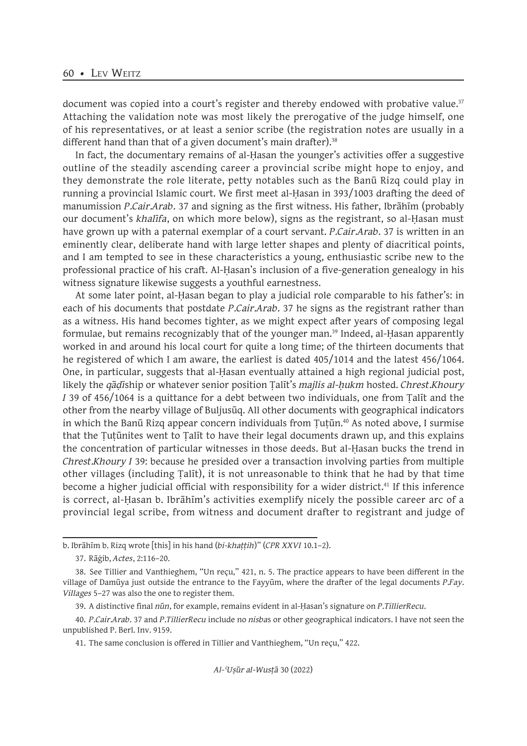document was copied into a court's register and thereby endowed with probative value.<sup>37</sup> Attaching the validation note was most likely the prerogative of the judge himself, one of his representatives, or at least a senior scribe (the registration notes are usually in a different hand than that of a given document's main drafter).<sup>38</sup>

In fact, the documentary remains of al-Ḥasan the younger's activities offer a suggestive outline of the steadily ascending career a provincial scribe might hope to enjoy, and they demonstrate the role literate, petty notables such as the Banū Rizq could play in running a provincial Islamic court. We first meet al-Ḥasan in 393/1003 drafting the deed of manumission *P.Cair.Arab.* 37 and signing as the first witness. His father, Ibrāhīm (probably our document's *khalīfa*, on which more below), signs as the registrant, so al-Ḥasan must have grown up with a paternal exemplar of a court servant. *P.Cair.Arab.* 37 is written in an eminently clear, deliberate hand with large letter shapes and plenty of diacritical points, and I am tempted to see in these characteristics a young, enthusiastic scribe new to the professional practice of his craft. Al-Ḥasan's inclusion of a five-generation genealogy in his witness signature likewise suggests a youthful earnestness.

At some later point, al-Ḥasan began to play a judicial role comparable to his father's: in each of his documents that postdate *P.Cair.Arab.* 37 he signs as the registrant rather than as a witness. His hand becomes tighter, as we might expect after years of composing legal formulae, but remains recognizably that of the younger man.<sup>39</sup> Indeed, al-Hasan apparently worked in and around his local court for quite a long time; of the thirteen documents that he registered of which I am aware, the earliest is dated 405/1014 and the latest 456/1064. One, in particular, suggests that al-Ḥasan eventually attained a high regional judicial post, likely the *qāḍī*ship or whatever senior position Ṭalīt's *majlis al-ḥukm* hosted. *Chrest.Khoury I* 39 of 456/1064 is a quittance for a debt between two individuals, one from Ṭalīt and the other from the nearby village of Buljusūq. All other documents with geographical indicators in which the Banū Rizq appear concern individuals from Tutūn.<sup>40</sup> As noted above, I surmise that the Ṭuṭūnites went to Ṭalīt to have their legal documents drawn up, and this explains the concentration of particular witnesses in those deeds. But al-Ḥasan bucks the trend in *Chrest.Khoury I* 39: because he presided over a transaction involving parties from multiple other villages (including Ṭalīt), it is not unreasonable to think that he had by that time become a higher judicial official with responsibility for a wider district.<sup>41</sup> If this inference is correct, al-Ḥasan b. Ibrāhīm's activities exemplify nicely the possible career arc of a provincial legal scribe, from witness and document drafter to registrant and judge of

b. Ibrāhīm b. Rizq wrote [this] in his hand (*bi-khaṭṭih*)" (*CPR XXVI* 10.1–2).

<sup>37.</sup> Rāġib, *Actes*, 2:116–20.

<sup>38.</sup> See Tillier and Vanthieghem, "Un reçu," 421, n. 5. The practice appears to have been different in the village of Damūya just outside the entrance to the Fayyūm, where the drafter of the legal documents *P.Fay. Villages* 5–27 was also the one to register them.

<sup>39.</sup> A distinctive final *nūn*, for example, remains evident in al-Ḥasan's signature on *P.TillierRecu*.

<sup>40.</sup> *P.Cair.Arab.* 37 and *P.TillierRecu* include no *nisba*s or other geographical indicators. I have not seen the unpublished P. Berl. Inv. 9159.

<sup>41.</sup> The same conclusion is offered in Tillier and Vanthieghem, "Un reçu," 422.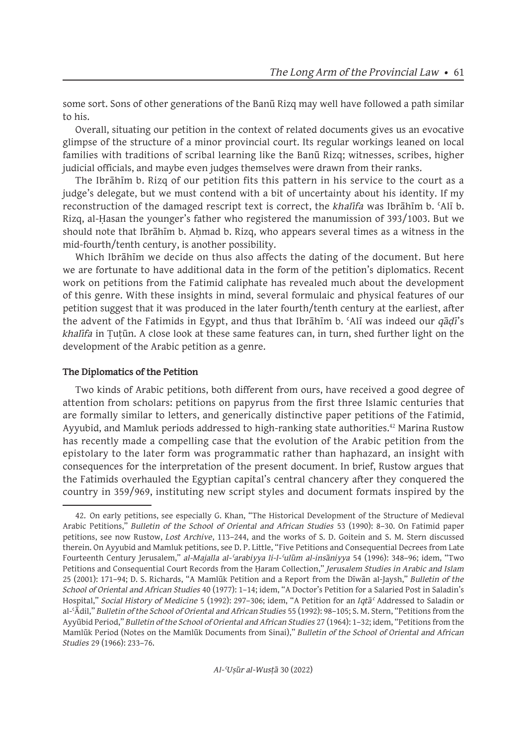some sort. Sons of other generations of the Banū Rizq may well have followed a path similar to his.

Overall, situating our petition in the context of related documents gives us an evocative glimpse of the structure of a minor provincial court. Its regular workings leaned on local families with traditions of scribal learning like the Banū Rizq; witnesses, scribes, higher judicial officials, and maybe even judges themselves were drawn from their ranks.

The Ibrāhīm b. Rizq of our petition fits this pattern in his service to the court as a judge's delegate, but we must contend with a bit of uncertainty about his identity. If my reconstruction of the damaged rescript text is correct, the *khalīfa* was Ibrāhīm b. ʿAlī b. Rizq, al-Ḥasan the younger's father who registered the manumission of 393/1003. But we should note that Ibrāhīm b. Aḥmad b. Rizq, who appears several times as a witness in the mid-fourth/tenth century, is another possibility.

Which Ibrāhīm we decide on thus also affects the dating of the document. But here we are fortunate to have additional data in the form of the petition's diplomatics. Recent work on petitions from the Fatimid caliphate has revealed much about the development of this genre. With these insights in mind, several formulaic and physical features of our petition suggest that it was produced in the later fourth/tenth century at the earliest, after the advent of the Fatimids in Egypt, and thus that Ibrāhīm b. ʿAlī was indeed our *qāḍī*'s *khalīfa* in Ṭuṭūn. A close look at these same features can, in turn, shed further light on the development of the Arabic petition as a genre.

### **The Diplomatics of the Petition**

Two kinds of Arabic petitions, both different from ours, have received a good degree of attention from scholars: petitions on papyrus from the first three Islamic centuries that are formally similar to letters, and generically distinctive paper petitions of the Fatimid, Ayyubid, and Mamluk periods addressed to high-ranking state authorities.<sup>42</sup> Marina Rustow has recently made a compelling case that the evolution of the Arabic petition from the epistolary to the later form was programmatic rather than haphazard, an insight with consequences for the interpretation of the present document. In brief, Rustow argues that the Fatimids overhauled the Egyptian capital's central chancery after they conquered the country in 359/969, instituting new script styles and document formats inspired by the

<sup>42.</sup> On early petitions, see especially G. Khan, "The Historical Development of the Structure of Medieval Arabic Petitions," *Bulletin of the School of Oriental and African Studies* 53 (1990): 8–30. On Fatimid paper petitions, see now Rustow, *Lost Archive*, 113–244, and the works of S. D. Goitein and S. M. Stern discussed therein. On Ayyubid and Mamluk petitions, see D. P. Little, "Five Petitions and Consequential Decrees from Late Fourteenth Century Jerusalem," *al-Majalla al-ʿarabiyya li-l-ʿulūm al-insāniyya* 54 (1996): 348–96; idem, "Two Petitions and Consequential Court Records from the Ḥaram Collection," *Jerusalem Studies in Arabic and Islam*  25 (2001): 171–94; D. S. Richards, "A Mamlūk Petition and a Report from the Dīwān al-Jaysh," *Bulletin of the School of Oriental and African Studies* 40 (1977): 1–14; idem, "A Doctor's Petition for a Salaried Post in Saladin's Hospital," *Social History of Medicine* 5 (1992): 297–306; idem, "A Petition for an *Iqtāʿ* Addressed to Saladin or al-ʿĀdil," *Bulletin of the School of Oriental and African Studies* 55 (1992): 98–105; S. M. Stern, "Petitions from the Ayyūbid Period," *Bulletin of the School of Oriental and African Studies* 27 (1964): 1–32; idem, "Petitions from the Mamlūk Period (Notes on the Mamlūk Documents from Sinai)," *Bulletin of the School of Oriental and African Studies* 29 (1966): 233–76.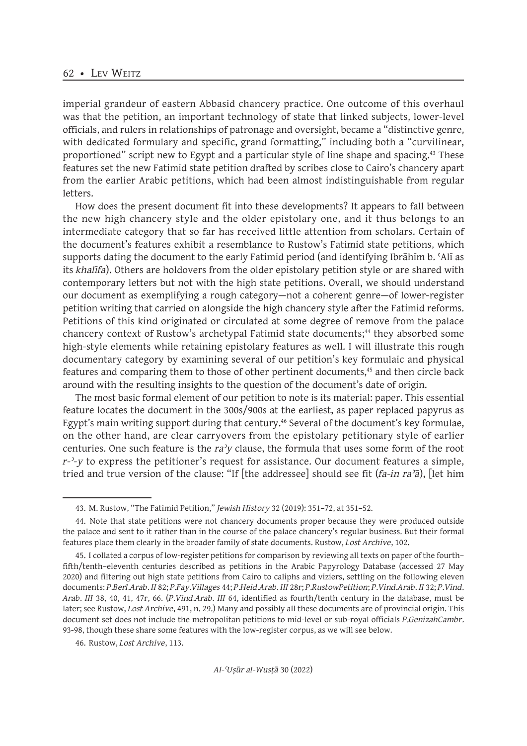imperial grandeur of eastern Abbasid chancery practice. One outcome of this overhaul was that the petition, an important technology of state that linked subjects, lower-level officials, and rulers in relationships of patronage and oversight, became a "distinctive genre, with dedicated formulary and specific, grand formatting," including both a "curvilinear, proportioned" script new to Egypt and a particular style of line shape and spacing.43 These features set the new Fatimid state petition drafted by scribes close to Cairo's chancery apart from the earlier Arabic petitions, which had been almost indistinguishable from regular letters.

How does the present document fit into these developments? It appears to fall between the new high chancery style and the older epistolary one, and it thus belongs to an intermediate category that so far has received little attention from scholars. Certain of the document's features exhibit a resemblance to Rustow's Fatimid state petitions, which supports dating the document to the early Fatimid period (and identifying Ibrāhīm b. ʿAlī as its *khalīfa*). Others are holdovers from the older epistolary petition style or are shared with contemporary letters but not with the high state petitions. Overall, we should understand our document as exemplifying a rough category—not a coherent genre—of lower-register petition writing that carried on alongside the high chancery style after the Fatimid reforms. Petitions of this kind originated or circulated at some degree of remove from the palace chancery context of Rustow's archetypal Fatimid state documents;<sup>44</sup> they absorbed some high-style elements while retaining epistolary features as well. I will illustrate this rough documentary category by examining several of our petition's key formulaic and physical features and comparing them to those of other pertinent documents,<sup>45</sup> and then circle back around with the resulting insights to the question of the document's date of origin.

The most basic formal element of our petition to note is its material: paper. This essential feature locates the document in the 300s/900s at the earliest, as paper replaced papyrus as Egypt's main writing support during that century.<sup>46</sup> Several of the document's key formulae, on the other hand, are clear carryovers from the epistolary petitionary style of earlier centuries. One such feature is the *raʾy* clause, the formula that uses some form of the root *r-ʾ-y* to express the petitioner's request for assistance. Our document features a simple, tried and true version of the clause: "If [the addressee] should see fit (*fa-in raʾā*), [let him

<sup>43.</sup> M. Rustow, "The Fatimid Petition," *Jewish History* 32 (2019): 351–72, at 351–52.

<sup>44.</sup> Note that state petitions were not chancery documents proper because they were produced outside the palace and sent to it rather than in the course of the palace chancery's regular business. But their formal features place them clearly in the broader family of state documents. Rustow, *Lost Archive*, 102.

<sup>45.</sup> I collated a corpus of low-register petitions for comparison by reviewing all texts on paper of the fourth– fifth/tenth–eleventh centuries described as petitions in the Arabic Papyrology Database (accessed 27 May 2020) and filtering out high state petitions from Cairo to caliphs and viziers, settling on the following eleven documents: *P.Berl.Arab. II* 82; *P.Fay.Villages* 44; *P.Heid.Arab. III* 28r; *P.RustowPetition*; *P.Vind.Arab. II* 32; *P.Vind. Arab. III* 38, 40, 41, 47r, 66. (*P.Vind.Arab. III* 64, identified as fourth/tenth century in the database, must be later; see Rustow, *Lost Archive*, 491, n. 29.) Many and possibly all these documents are of provincial origin. This document set does not include the metropolitan petitions to mid-level or sub-royal officials *P.GenizahCambr.* 93-98, though these share some features with the low-register corpus, as we will see below.

<sup>46.</sup> Rustow, *Lost Archive*, 113.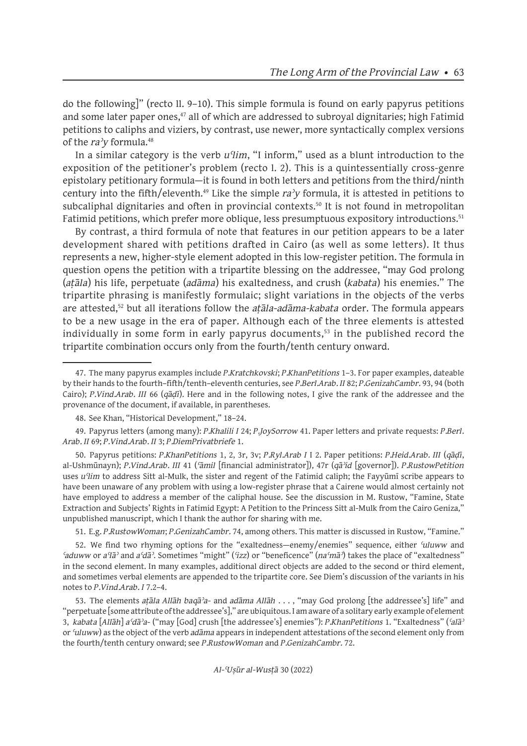do the following]" (recto ll. 9–10). This simple formula is found on early papyrus petitions and some later paper ones, $47$  all of which are addressed to subroyal dignitaries; high Fatimid petitions to caliphs and viziers, by contrast, use newer, more syntactically complex versions of the *raʾy* formula.<sup>48</sup>

In a similar category is the verb *uʿlim*, "I inform," used as a blunt introduction to the exposition of the petitioner's problem (recto l. 2). This is a quintessentially cross-genre epistolary petitionary formula—it is found in both letters and petitions from the third/ninth century into the fifth/eleventh.49 Like the simple *raʾy* formula, it is attested in petitions to subcaliphal dignitaries and often in provincial contexts.<sup>50</sup> It is not found in metropolitan Fatimid petitions, which prefer more oblique, less presumptuous expository introductions.<sup>51</sup>

By contrast, a third formula of note that features in our petition appears to be a later development shared with petitions drafted in Cairo (as well as some letters). It thus represents a new, higher-style element adopted in this low-register petition. The formula in question opens the petition with a tripartite blessing on the addressee, "may God prolong (*aṭāla*) his life, perpetuate (*adāma*) his exaltedness, and crush (*kabata*) his enemies." The tripartite phrasing is manifestly formulaic; slight variations in the objects of the verbs are attested,<sup>52</sup> but all iterations follow the *aṭāla-adāma-kabata* order. The formula appears to be a new usage in the era of paper. Although each of the three elements is attested individually in some form in early papyrus documents,<sup>53</sup> in the published record the tripartite combination occurs only from the fourth/tenth century onward.

51. E.g. *P.RustowWoman*; *P.GenizahCambr.* 74, among others. This matter is discussed in Rustow, "Famine."

52. We find two rhyming options for the "exaltedness—enemy/enemies" sequence, either *ʿuluww* and *ʿaduww* or *aʿlāʾ* and *aʿdāʾ*. Sometimes "might" (*ʿizz*) or "beneficence" (*naʿmāʾ*) takes the place of "exaltedness" in the second element. In many examples, additional direct objects are added to the second or third element, and sometimes verbal elements are appended to the tripartite core. See Diem's discussion of the variants in his notes to *P.Vind.Arab. I* 7.2–4.

53. The elements *aṭāla Allāh baqāʾa*- and *adāma Allāh* . . . , "may God prolong [the addressee's] life" and "perpetuate [some attribute of the addressee's]," are ubiquitous. I am aware of a solitary early example of element 3, *kabata* [*Allāh*] *aʿdāʾa*- ("may [God] crush [the addressee's] enemies"): *P.KhanPetitions* 1. "Exaltedness" (*ʿalāʾ* or *ʿuluww*) as the object of the verb *adāma* appears in independent attestations of the second element only from the fourth/tenth century onward; see *P.RustowWoman* and *P.GenizahCambr.* 72.

<sup>47.</sup> The many papyrus examples include *P.Kratchkovski*; *P.KhanPetitions* 1–3. For paper examples, dateable by their hands to the fourth–fifth/tenth–eleventh centuries, see *P.Berl.Arab. II* 82; *P.GenizahCambr.* 93, 94 (both Cairo); *P.Vind.Arab. III* 66 (*qāḍī*). Here and in the following notes, I give the rank of the addressee and the provenance of the document, if available, in parentheses.

<sup>48.</sup> See Khan, "Historical Development," 18–24.

<sup>49.</sup> Papyrus letters (among many): *P.Khalili I* 24; *P.JoySorrow* 41. Paper letters and private requests: *P.Berl. Arab. II* 69; *P.Vind.Arab. II* 3; *P.DiemPrivatbriefe* 1.

<sup>50.</sup> Papyrus petitions: *P.KhanPetitions* 1, 2, 3r, 3v; *P.Ryl.Arab I* I 2. Paper petitions: *P.Heid.Arab. III* (*qāḍī*, al-Ushmūnayn); *P.Vind.Arab. III* 41 (*ʿāmil* [financial administrator]), 47r (*qāʾid* [governor]). *P.RustowPetition* uses *uʿlim* to address Sitt al-Mulk, the sister and regent of the Fatimid caliph; the Fayyūmī scribe appears to have been unaware of any problem with using a low-register phrase that a Cairene would almost certainly not have employed to address a member of the caliphal house. See the discussion in M. Rustow, "Famine, State Extraction and Subjects' Rights in Fatimid Egypt: A Petition to the Princess Sitt al-Mulk from the Cairo Geniza," unpublished manuscript, which I thank the author for sharing with me.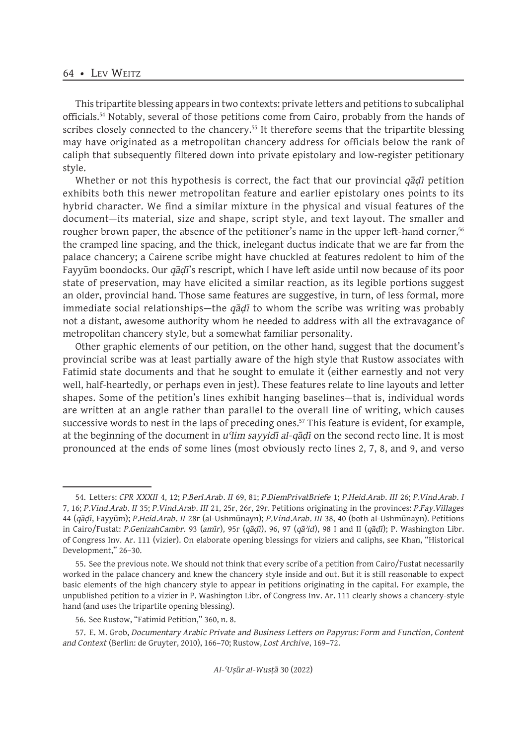This tripartite blessing appears in two contexts: private letters and petitions to subcaliphal officials.54 Notably, several of those petitions come from Cairo, probably from the hands of scribes closely connected to the chancery.<sup>55</sup> It therefore seems that the tripartite blessing may have originated as a metropolitan chancery address for officials below the rank of caliph that subsequently filtered down into private epistolary and low-register petitionary style.

Whether or not this hypothesis is correct, the fact that our provincial *qāḍī* petition exhibits both this newer metropolitan feature and earlier epistolary ones points to its hybrid character. We find a similar mixture in the physical and visual features of the document—its material, size and shape, script style, and text layout. The smaller and rougher brown paper, the absence of the petitioner's name in the upper left-hand corner,<sup>56</sup> the cramped line spacing, and the thick, inelegant ductus indicate that we are far from the palace chancery; a Cairene scribe might have chuckled at features redolent to him of the Fayyūm boondocks. Our *qāḍī*'s rescript, which I have left aside until now because of its poor state of preservation, may have elicited a similar reaction, as its legible portions suggest an older, provincial hand. Those same features are suggestive, in turn, of less formal, more immediate social relationships—the *qāḍī* to whom the scribe was writing was probably not a distant, awesome authority whom he needed to address with all the extravagance of metropolitan chancery style, but a somewhat familiar personality.

Other graphic elements of our petition, on the other hand, suggest that the document's provincial scribe was at least partially aware of the high style that Rustow associates with Fatimid state documents and that he sought to emulate it (either earnestly and not very well, half-heartedly, or perhaps even in jest). These features relate to line layouts and letter shapes. Some of the petition's lines exhibit hanging baselines—that is, individual words are written at an angle rather than parallel to the overall line of writing, which causes successive words to nest in the laps of preceding ones.<sup>57</sup> This feature is evident, for example, at the beginning of the document in *uʿlim sayyidī al-qāḍī* on the second recto line. It is most pronounced at the ends of some lines (most obviously recto lines 2, 7, 8, and 9, and verso

<sup>54.</sup> Letters: *CPR XXXII* 4, 12; *P.Berl.Arab. II* 69, 81; *P.DiemPrivatBriefe* 1; *P.Heid.Arab. III* 26; *P.Vind.Arab. I* 7, 16; *P.Vind.Arab. II* 35; *P.Vind.Arab. III* 21, 25r, 26r, 29r. Petitions originating in the provinces: *P.Fay.Villages* 44 (*qāḍī*, Fayyūm); *P.Heid.Arab. II* 28r (al-Ushmūnayn); *P.Vind.Arab. III* 38, 40 (both al-Ushmūnayn). Petitions in Cairo/Fustat: *P.GenizahCambr.* 93 (*amīr*), 95r (*qāḍī*), 96, 97 (*qāʾid*), 98 I and II (*qāḍī*); P. Washington Libr. of Congress Inv. Ar. 111 (vizier). On elaborate opening blessings for viziers and caliphs, see Khan, "Historical Development," 26–30.

<sup>55.</sup> See the previous note. We should not think that every scribe of a petition from Cairo/Fustat necessarily worked in the palace chancery and knew the chancery style inside and out. But it is still reasonable to expect basic elements of the high chancery style to appear in petitions originating in the capital. For example, the unpublished petition to a vizier in P. Washington Libr. of Congress Inv. Ar. 111 clearly shows a chancery-style hand (and uses the tripartite opening blessing).

<sup>56.</sup> See Rustow, "Fatimid Petition," 360, n. 8.

<sup>57.</sup> E. M. Grob, *Documentary Arabic Private and Business Letters on Papyrus: Form and Function, Content and Context* (Berlin: de Gruyter, 2010), 166–70; Rustow, *Lost Archive*, 169–72.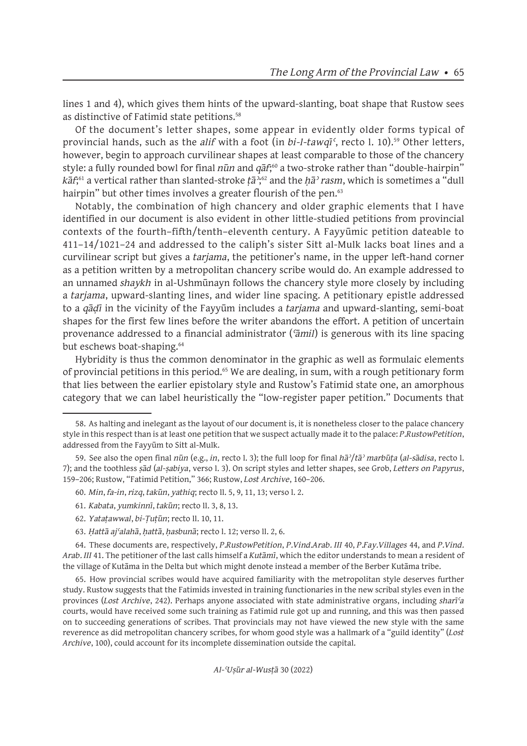lines 1 and 4), which gives them hints of the upward-slanting, boat shape that Rustow sees as distinctive of Fatimid state petitions.<sup>58</sup>

Of the document's letter shapes, some appear in evidently older forms typical of provincial hands, such as the *alif* with a foot (in *bi-l-tawqī*<sup>c</sup>, recto l. 10).<sup>59</sup> Other letters, however, begin to approach curvilinear shapes at least comparable to those of the chancery style: a fully rounded bowl for final *nūn* and *qāf*; <sup>60</sup> a two-stroke rather than "double-hairpin" *kāf*; 61 a vertical rather than slanted-stroke *ṭāʾ*; 62 and the *ḥāʾ rasm*, which is sometimes a "dull hairpin" but other times involves a greater flourish of the pen.<sup>63</sup>

Notably, the combination of high chancery and older graphic elements that I have identified in our document is also evident in other little-studied petitions from provincial contexts of the fourth–fifth/tenth–eleventh century. A Fayyūmic petition dateable to 411–14/1021–24 and addressed to the caliph's sister Sitt al-Mulk lacks boat lines and a curvilinear script but gives a *tarjama*, the petitioner's name, in the upper left-hand corner as a petition written by a metropolitan chancery scribe would do. An example addressed to an unnamed *shaykh* in al-Ushmūnayn follows the chancery style more closely by including a *tarjama*, upward-slanting lines, and wider line spacing. A petitionary epistle addressed to a *qāḍī* in the vicinity of the Fayyūm includes a *tarjama* and upward-slanting, semi-boat shapes for the first few lines before the writer abandons the effort. A petition of uncertain provenance addressed to a financial administrator (*ʿāmil*) is generous with its line spacing but eschews boat-shaping.<sup>64</sup>

Hybridity is thus the common denominator in the graphic as well as formulaic elements of provincial petitions in this period.<sup>65</sup> We are dealing, in sum, with a rough petitionary form that lies between the earlier epistolary style and Rustow's Fatimid state one, an amorphous category that we can label heuristically the "low-register paper petition." Documents that

63. *Ḥattā ajʿalahā*, *ḥattā*, *ḥasbunā*; recto l. 12; verso ll. 2, 6.

64. These documents are, respectively, *P.RustowPetition*, *P.Vind.Arab. III* 40, *P.Fay.Villages* 44, and *P.Vind. Arab. III* 41. The petitioner of the last calls himself a *Kutāmī*, which the editor understands to mean a resident of the village of Kutāma in the Delta but which might denote instead a member of the Berber Kutāma tribe.

65. How provincial scribes would have acquired familiarity with the metropolitan style deserves further study. Rustow suggests that the Fatimids invested in training functionaries in the new scribal styles even in the provinces (*Lost Archive*, 242). Perhaps anyone associated with state administrative organs, including *sharīʿa* courts, would have received some such training as Fatimid rule got up and running, and this was then passed on to succeeding generations of scribes. That provincials may not have viewed the new style with the same reverence as did metropolitan chancery scribes, for whom good style was a hallmark of a "guild identity" (*Lost Archive*, 100), could account for its incomplete dissemination outside the capital.

<sup>58.</sup> As halting and inelegant as the layout of our document is, it is nonetheless closer to the palace chancery style in this respect than is at least one petition that we suspect actually made it to the palace: *P.RustowPetition*, addressed from the Fayyūm to Sitt al-Mulk.

<sup>59.</sup> See also the open final *nūn* (e.g., *in*, recto l. 3); the full loop for final *hāʾ*/*tāʾ marbūṭa* (*al-sādisa*, recto l. 7); and the toothless *ṣād* (*al-ṣabiya*, verso l. 3). On script styles and letter shapes, see Grob, *Letters on Papyrus*, 159–206; Rustow, "Fatimid Petition," 366; Rustow, *Lost Archive*, 160–206.

<sup>60.</sup> *Min*, *fa-in*, *rizq*, *takūn*, *yathiq*; recto ll. 5, 9, 11, 13; verso l. 2.

<sup>61.</sup> *Kabata*, *yumkinnī*, *takūn*; recto ll. 3, 8, 13.

<sup>62.</sup> *Yataṭawwal*, *bi-Ṭuṭūn*; recto ll. 10, 11.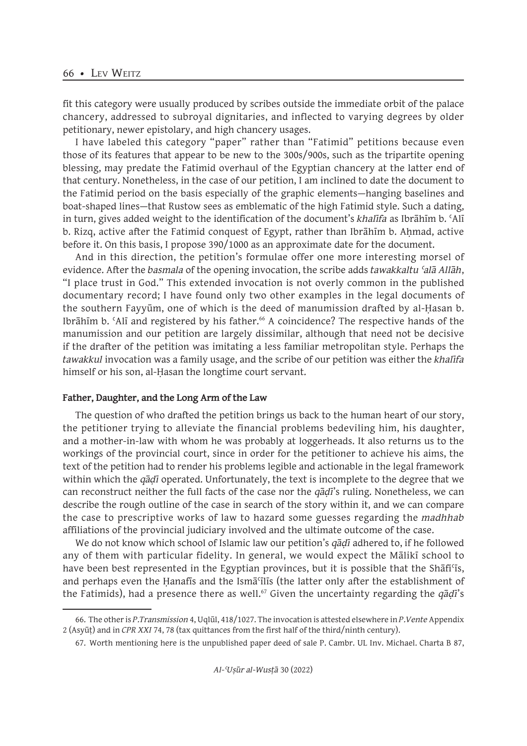fit this category were usually produced by scribes outside the immediate orbit of the palace chancery, addressed to subroyal dignitaries, and inflected to varying degrees by older petitionary, newer epistolary, and high chancery usages.

I have labeled this category "paper" rather than "Fatimid" petitions because even those of its features that appear to be new to the 300s/900s, such as the tripartite opening blessing, may predate the Fatimid overhaul of the Egyptian chancery at the latter end of that century. Nonetheless, in the case of our petition, I am inclined to date the document to the Fatimid period on the basis especially of the graphic elements—hanging baselines and boat-shaped lines—that Rustow sees as emblematic of the high Fatimid style. Such a dating, in turn, gives added weight to the identification of the document's *khalīfa* as Ibrāhīm b. ʿAlī b. Rizq, active after the Fatimid conquest of Egypt, rather than Ibrāhīm b. Aḥmad, active before it. On this basis, I propose 390/1000 as an approximate date for the document.

And in this direction, the petition's formulae offer one more interesting morsel of evidence. After the *basmala* of the opening invocation, the scribe adds *tawakkaltu ʿalā Allāh*, "I place trust in God." This extended invocation is not overly common in the published documentary record; I have found only two other examples in the legal documents of the southern Fayyūm, one of which is the deed of manumission drafted by al-Ḥasan b. Ibrāhīm b. 'Alī and registered by his father.<sup>66</sup> A coincidence? The respective hands of the manumission and our petition are largely dissimilar, although that need not be decisive if the drafter of the petition was imitating a less familiar metropolitan style. Perhaps the *tawakkul* invocation was a family usage, and the scribe of our petition was either the *khalīfa* himself or his son, al-Ḥasan the longtime court servant.

#### **Father, Daughter, and the Long Arm of the Law**

The question of who drafted the petition brings us back to the human heart of our story, the petitioner trying to alleviate the financial problems bedeviling him, his daughter, and a mother-in-law with whom he was probably at loggerheads. It also returns us to the workings of the provincial court, since in order for the petitioner to achieve his aims, the text of the petition had to render his problems legible and actionable in the legal framework within which the *qāḍī* operated. Unfortunately, the text is incomplete to the degree that we can reconstruct neither the full facts of the case nor the *qāḍī*'s ruling. Nonetheless, we can describe the rough outline of the case in search of the story within it, and we can compare the case to prescriptive works of law to hazard some guesses regarding the *madhhab* affiliations of the provincial judiciary involved and the ultimate outcome of the case.

We do not know which school of Islamic law our petition's *qāḍī* adhered to, if he followed any of them with particular fidelity. In general, we would expect the Mālikī school to have been best represented in the Egyptian provinces, but it is possible that the Shafi'is, and perhaps even the Ḥanafīs and the Ismāʿīlīs (the latter only after the establishment of the Fatimids), had a presence there as well.<sup>67</sup> Given the uncertainty regarding the *q*ādī's

<sup>66.</sup> The other is *P.Transmission* 4, Uqlūl, 418/1027. The invocation is attested elsewhere in *P.Vente* Appendix 2 (Asyūṭ) and in *CPR XXI* 74, 78 (tax quittances from the first half of the third/ninth century).

<sup>67.</sup> Worth mentioning here is the unpublished paper deed of sale P. Cambr. UL Inv. Michael. Charta B 87,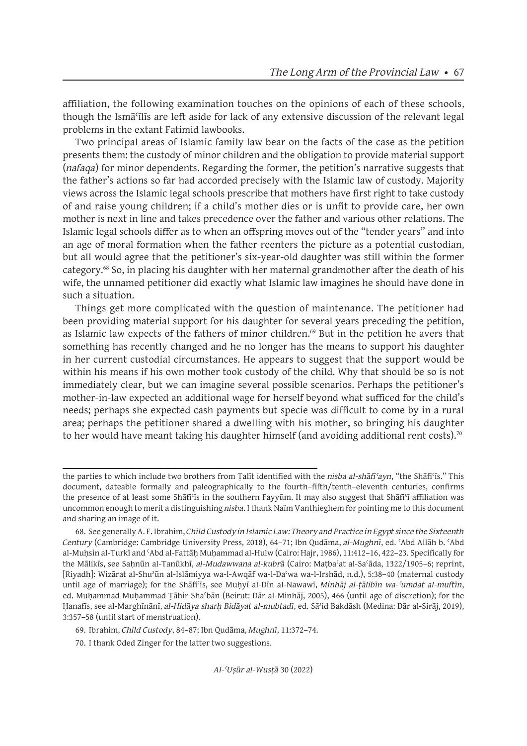affiliation, the following examination touches on the opinions of each of these schools, though the Ismāʿīlīs are left aside for lack of any extensive discussion of the relevant legal problems in the extant Fatimid lawbooks.

Two principal areas of Islamic family law bear on the facts of the case as the petition presents them: the custody of minor children and the obligation to provide material support (*nafaqa*) for minor dependents. Regarding the former, the petition's narrative suggests that the father's actions so far had accorded precisely with the Islamic law of custody. Majority views across the Islamic legal schools prescribe that mothers have first right to take custody of and raise young children; if a child's mother dies or is unfit to provide care, her own mother is next in line and takes precedence over the father and various other relations. The Islamic legal schools differ as to when an offspring moves out of the "tender years" and into an age of moral formation when the father reenters the picture as a potential custodian, but all would agree that the petitioner's six-year-old daughter was still within the former category.68 So, in placing his daughter with her maternal grandmother after the death of his wife, the unnamed petitioner did exactly what Islamic law imagines he should have done in such a situation.

Things get more complicated with the question of maintenance. The petitioner had been providing material support for his daughter for several years preceding the petition, as Islamic law expects of the fathers of minor children.<sup>69</sup> But in the petition he avers that something has recently changed and he no longer has the means to support his daughter in her current custodial circumstances. He appears to suggest that the support would be within his means if his own mother took custody of the child. Why that should be so is not immediately clear, but we can imagine several possible scenarios. Perhaps the petitioner's mother-in-law expected an additional wage for herself beyond what sufficed for the child's needs; perhaps she expected cash payments but specie was difficult to come by in a rural area; perhaps the petitioner shared a dwelling with his mother, so bringing his daughter to her would have meant taking his daughter himself (and avoiding additional rent costs).<sup>70</sup>

69. Ibrahim, *Child Custody*, 84–87; Ibn Qudāma, *Mughnī*, 11:372–74.

70. I thank Oded Zinger for the latter two suggestions.

the parties to which include two brothers from Ṭalīt identified with the *nisba al-shāfiʿayn*, "the Shāfiʿīs." This document, dateable formally and paleographically to the fourth–fifth/tenth–eleventh centuries, confirms the presence of at least some Shāfiʿīs in the southern Fayyūm. It may also suggest that Shāfiʿī affiliation was uncommon enough to merit a distinguishing *nisba*. I thank Naïm Vanthieghem for pointing me to this document and sharing an image of it.

<sup>68.</sup> See generally A. F. Ibrahim, *Child Custody in Islamic Law: Theory and Practice in Egypt since the Sixteenth Century* (Cambridge: Cambridge University Press, 2018), 64–71; Ibn Qudāma, *al-Mughnī*, ed. ʿAbd Allāh b. ʿAbd al-Muḥsin al-Turkī and ʿAbd al-Fattāḥ Muḥammad al-Hulw (Cairo: Hajr, 1986), 11:412–16, 422–23. Specifically for the Mālikīs, see Saḥnūn al-Tanūkhī, *al-Mudawwana al-kubrā* (Cairo: Maṭbaʿat al-Saʿāda, 1322/1905–6; reprint, [Riyadh]: Wizārat al-Shuʾūn al-Islāmiyya wa-l-Awqāf wa-l-Daʿwa wa-l-Irshād, n.d.), 5:38–40 (maternal custody until age of marriage); for the Shāfiʿīs, see Muḥyī al-Dīn al-Nawawī, *Minhāj al-ṭālibīn wa-ʿumdat al-muftīn*, ed. Muḥammad Muḥammad Ṭāhir Shaʿbān (Beirut: Dār al-Minhāj, 2005), 466 (until age of discretion); for the Hanafīs, see al-Marghīnānī, *al-Hidāya sharh Bidāyat al-mubtadī*, ed. Sā<sup>3</sup>id Bakdāsh (Medina: Dār al-Sirāj, 2019), 3:357–58 (until start of menstruation).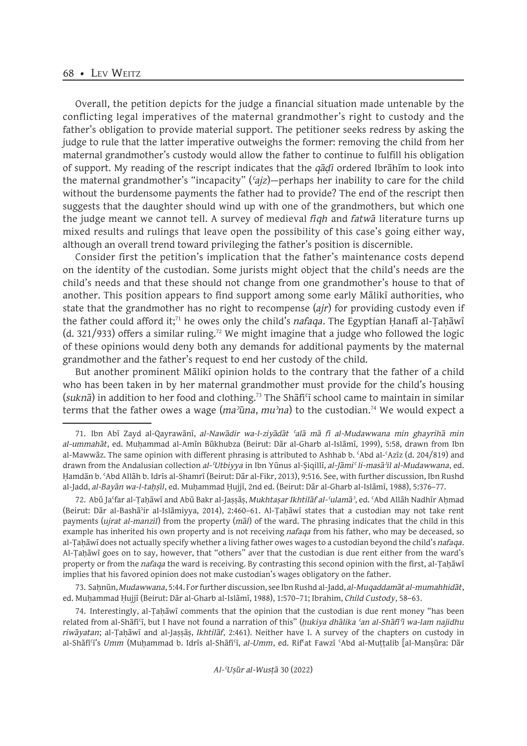Overall, the petition depicts for the judge a financial situation made untenable by the conflicting legal imperatives of the maternal grandmother's right to custody and the father's obligation to provide material support. The petitioner seeks redress by asking the judge to rule that the latter imperative outweighs the former: removing the child from her maternal grandmother's custody would allow the father to continue to fulfill his obligation of support. My reading of the rescript indicates that the *qāḍī* ordered Ibrāhīm to look into the maternal grandmother's "incapacity" (*ʿajz*)—perhaps her inability to care for the child without the burdensome payments the father had to provide? The end of the rescript then suggests that the daughter should wind up with one of the grandmothers, but which one the judge meant we cannot tell. A survey of medieval *fiqh* and *fatwā* literature turns up mixed results and rulings that leave open the possibility of this case's going either way, although an overall trend toward privileging the father's position is discernible.

Consider first the petition's implication that the father's maintenance costs depend on the identity of the custodian. Some jurists might object that the child's needs are the child's needs and that these should not change from one grandmother's house to that of another. This position appears to find support among some early Mālikī authorities, who state that the grandmother has no right to recompense (*ajr*) for providing custody even if the father could afford it;<sup>71</sup> he owes only the child's *nafaqa*. The Egyptian Ḥanafī al-Ṭaḥāwī (d. 321/933) offers a similar ruling.<sup>72</sup> We might imagine that a judge who followed the logic of these opinions would deny both any demands for additional payments by the maternal grandmother and the father's request to end her custody of the child.

But another prominent Mālikī opinion holds to the contrary that the father of a child who has been taken in by her maternal grandmother must provide for the child's housing (*suknā*) in addition to her food and clothing.<sup>73</sup> The Shāfiʿī school came to maintain in similar terms that the father owes a wage (*maʾūna*, *muʾna*) to the custodian.74 We would expect a

72. Abū Jaʿfar al-Ṭaḥāwī and Abū Bakr al-Jaṣṣāṣ, *Mukhtaṣar Ikhtilāf al-ʿulamāʾ*, ed. ʿAbd Allāh Nadhīr Aḥmad (Beirut: Dār al-Bashāʾir al-Islāmiyya, 2014), 2:460–61. Al-Ṭaḥāwī states that a custodian may not take rent payments (*ujrat al-manzil*) from the property (*māl*) of the ward. The phrasing indicates that the child in this example has inherited his own property and is not receiving *nafaqa* from his father, who may be deceased, so al-Ṭaḥāwī does not actually specify whether a living father owes wages to a custodian beyond the child's *nafaqa*. Al-Ṭaḥāwī goes on to say, however, that "others" aver that the custodian is due rent either from the ward's property or from the *nafaqa* the ward is receiving. By contrasting this second opinion with the first, al-Ṭaḥāwī implies that his favored opinion does not make custodian's wages obligatory on the father.

73. Saḥnūn, *Mudawwana*, 5:44. For further discussion, see Ibn Rushd al-Jadd, *al-Muqaddamāt al-mumahhidāt*, ed. Muḥammad Ḥujjī (Beirut: Dār al-Gharb al-Islāmī, 1988), 1:570–71; Ibrahim, *Child Custody*, 58–63.

74. Interestingly, al-Ṭaḥāwī comments that the opinion that the custodian is due rent money "has been related from al-Shāfiʿī, but I have not found a narration of this" (*ḥukiya dhālika ʿan al-Shāfiʿī wa-lam najidhu riwāyatan*; al-Ṭaḥāwī and al-Jaṣṣāṣ, *Ikhtilāf*, 2:461). Neither have I. A survey of the chapters on custody in al-Shāfiʿī's *Umm* (Muḥammad b. Idrīs al-Shāfiʿī, *al-Umm*, ed. Rifʿat Fawzī ʿAbd al-Muṭṭalib [al-Manṣūra: Dār

<sup>71.</sup> Ibn Abī Zayd al-Qayrawānī, *al-Nawādir wa-l-ziyādāt ʿalā mā fī al-Mudawwana min ghayrihā min al-ummahāt*, ed. Muḥammad al-Amīn Būkhubza (Beirut: Dār al-Gharb al-Islāmī, 1999), 5:58, drawn from Ibn al-Mawwāz. The same opinion with different phrasing is attributed to Ashhab b. ʿAbd al-ʿAzīz (d. 204/819) and drawn from the Andalusian collection *al-ʿUtbiyya* in Ibn Yūnus al-Ṣiqillī, *al-Jāmiʿ li-masāʾil al-Mudawwana*, ed. Ḥamdān b. ʿAbd Allāh b. Idrīs al-Shamrī (Beirut: Dār al-Fikr, 2013), 9:516. See, with further discussion, Ibn Rushd al-Jadd, *al-Bayān wa-l-taḥṣīl*, ed. Muḥammad Ḥujjī, 2nd ed. (Beirut: Dār al-Gharb al-Islāmī, 1988), 5:376–77.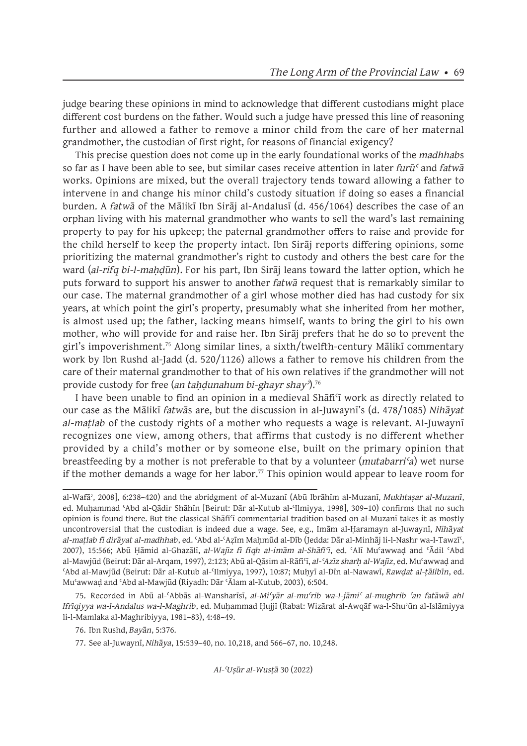judge bearing these opinions in mind to acknowledge that different custodians might place different cost burdens on the father. Would such a judge have pressed this line of reasoning further and allowed a father to remove a minor child from the care of her maternal grandmother, the custodian of first right, for reasons of financial exigency?

This precise question does not come up in the early foundational works of the *madhhab*s so far as I have been able to see, but similar cases receive attention in later *furūʿ* and *fatwā* works. Opinions are mixed, but the overall trajectory tends toward allowing a father to intervene in and change his minor child's custody situation if doing so eases a financial burden. A *fatwā* of the Mālikī Ibn Sirāj al-Andalusī (d. 456/1064) describes the case of an orphan living with his maternal grandmother who wants to sell the ward's last remaining property to pay for his upkeep; the paternal grandmother offers to raise and provide for the child herself to keep the property intact. Ibn Sirāj reports differing opinions, some prioritizing the maternal grandmother's right to custody and others the best care for the ward (*al-rifq bi-l-mahdūn*). For his part, Ibn Siraj leans toward the latter option, which he puts forward to support his answer to another *fatwā* request that is remarkably similar to our case. The maternal grandmother of a girl whose mother died has had custody for six years, at which point the girl's property, presumably what she inherited from her mother, is almost used up; the father, lacking means himself, wants to bring the girl to his own mother, who will provide for and raise her. Ibn Sirāj prefers that he do so to prevent the girl's impoverishment.75 Along similar lines, a sixth/twelfth-century Mālikī commentary work by Ibn Rushd al-Jadd (d. 520/1126) allows a father to remove his children from the care of their maternal grandmother to that of his own relatives if the grandmother will not provide custody for free (*an taḥḍunahum bi-ghayr shayʾ*).<sup>76</sup>

I have been unable to find an opinion in a medieval Shafi<sup>c</sup>i work as directly related to our case as the Mālikī *fatwā*s are, but the discussion in al-Juwaynī's (d. 478/1085) *Nihāyat al-maṭlab* of the custody rights of a mother who requests a wage is relevant. Al-Juwaynī recognizes one view, among others, that affirms that custody is no different whether provided by a child's mother or by someone else, built on the primary opinion that breastfeeding by a mother is not preferable to that by a volunteer (*mutabarriʿa*) wet nurse if the mother demands a wage for her labor.<sup>77</sup> This opinion would appear to leave room for

75. Recorded in Abū al-ʿAbbās al-Wansharīsī, *al-Miʿyār al-muʿrib wa-l-jāmiʿ al-mughrib ʿan fatāwā ahl Ifrīqiyya wa-l-Andalus wa-l-Maghrib*, ed. Muḥammad Ḥujjī (Rabat: Wizārat al-Awqāf wa-l-Shuʾūn al-Islāmiyya li-l-Mamlaka al-Maghribiyya, 1981–83), 4:48–49.

al-Wafāʾ, 2008], 6:238–420) and the abridgment of al-Muzanī (Abū Ibrāhīm al-Muzanī, *Mukhtaṣar al-Muzanī*, ed. Muḥammad ʿAbd al-Qādir Shāhīn [Beirut: Dār al-Kutub al-ʿIlmiyya, 1998], 309–10) confirms that no such opinion is found there. But the classical Shāfiʿī commentarial tradition based on al-Muzanī takes it as mostly uncontroversial that the custodian is indeed due a wage. See, e.g., Imām al-Ḥaramayn al-Juwaynī, *Nihāyat al-maṭlab fī dirāyat al-madhhab*, ed. ʿAbd al-ʿAẓīm Maḥmūd al-Dīb (Jedda: Dār al-Minhāj li-l-Nashr wa-l-Tawzīʿ, 2007), 15:566; Abū Ḥāmid al-Ghazālī, *al-Wajīz fī fiqh al-imām al-Shāfiʿī*, ed. ʿAlī Muʿawwaḍ and ʿĀdil ʿAbd al-Mawjūd (Beirut: Dār al-Arqam, 1997), 2:123; Abū al-Qāsim al-Rāfiʿī, *al-ʿAzīz sharḥ al-Wajīz*, ed. Muʿawwaḍ and ʿAbd al-Mawjūd (Beirut: Dār al-Kutub al-ʿIlmiyya, 1997), 10:87; Muḥyī al-Dīn al-Nawawī, *Rawḍat al-ṭālibīn*, ed. Muʿawwaḍ and ʿAbd al-Mawjūd (Riyadh: Dār ʿĀlam al-Kutub, 2003), 6:504.

<sup>76.</sup> Ibn Rushd, *Bayān*, 5:376.

<sup>77.</sup> See al-Juwaynī, *Nihāya*, 15:539–40, no. 10,218, and 566–67, no. 10,248.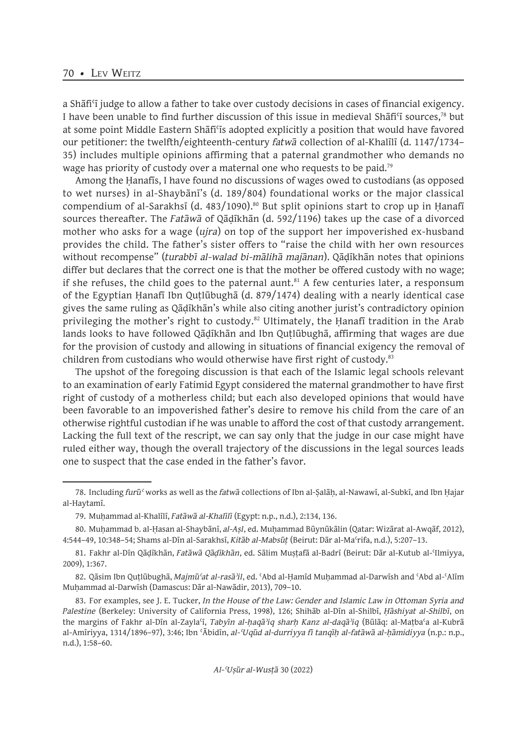a Shāfiʿī judge to allow a father to take over custody decisions in cases of financial exigency. I have been unable to find further discussion of this issue in medieval Shafi'i sources,<sup>78</sup> but at some point Middle Eastern Shāfiʿīs adopted explicitly a position that would have favored our petitioner: the twelfth/eighteenth-century *fatwā* collection of al-Khalīlī (d. 1147/1734– 35) includes multiple opinions affirming that a paternal grandmother who demands no wage has priority of custody over a maternal one who requests to be paid.<sup>79</sup>

Among the Ḥanafīs, I have found no discussions of wages owed to custodians (as opposed to wet nurses) in al-Shaybānī's (d. 189/804) foundational works or the major classical compendium of al-Sarakhsī (d. 483/1090).<sup>80</sup> But split opinions start to crop up in Ḥanafī sources thereafter. The *Fatāwā* of Qāḍīkhān (d. 592/1196) takes up the case of a divorced mother who asks for a wage (*ujra*) on top of the support her impoverished ex-husband provides the child. The father's sister offers to "raise the child with her own resources without recompense" (*turabbī al-walad bi-mālihā majānan*). Qāḍīkhān notes that opinions differ but declares that the correct one is that the mother be offered custody with no wage; if she refuses, the child goes to the paternal aunt.<sup>81</sup> A few centuries later, a responsum of the Egyptian Ḥanafī Ibn Quṭlūbughā (d. 879/1474) dealing with a nearly identical case gives the same ruling as Qāḍīkhān's while also citing another jurist's contradictory opinion privileging the mother's right to custody.<sup>82</sup> Ultimately, the Hanafi tradition in the Arab lands looks to have followed Qāḍīkhān and Ibn Quṭlūbughā, affirming that wages are due for the provision of custody and allowing in situations of financial exigency the removal of children from custodians who would otherwise have first right of custody.<sup>83</sup>

The upshot of the foregoing discussion is that each of the Islamic legal schools relevant to an examination of early Fatimid Egypt considered the maternal grandmother to have first right of custody of a motherless child; but each also developed opinions that would have been favorable to an impoverished father's desire to remove his child from the care of an otherwise rightful custodian if he was unable to afford the cost of that custody arrangement. Lacking the full text of the rescript, we can say only that the judge in our case might have ruled either way, though the overall trajectory of the discussions in the legal sources leads one to suspect that the case ended in the father's favor.

<sup>78.</sup> Including *furūʿ* works as well as the *fatwā* collections of Ibn al-Ṣalāḥ, al-Nawawī, al-Subkī, and Ibn Ḥajar al-Haytamī.

<sup>79.</sup> Muḥammad al-Khalīlī, *Fatāwā al-Khalīlī* (Egypt: n.p., n.d.), 2:134, 136.

<sup>80.</sup> Muḥammad b. al-Ḥasan al-Shaybānī, *al-Aṣl*, ed. Muḥammad Būynūkālin (Qatar: Wizārat al-Awqāf, 2012), 4:544–49, 10:348–54; Shams al-Dīn al-Sarakhsī, *Kitāb al-Mabsūṭ* (Beirut: Dār al-Maʿrifa, n.d.), 5:207–13.

<sup>81.</sup> Fakhr al-Dīn Qāḍīkhān, *Fatāwā Qāḍīkhān*, ed. Sālim Muṣṭafā al-Badrī (Beirut: Dār al-Kutub al-ʿIlmiyya, 2009), 1:367.

<sup>82.</sup> Qāsim Ibn Quṭlūbughā, *Majmūʿat al-rasāʾil*, ed. ʿAbd al-Ḥamīd Muḥammad al-Darwīsh and ʿAbd al-ʿAlīm Muḥammad al-Darwīsh (Damascus: Dār al-Nawādir, 2013), 709–10.

<sup>83.</sup> For examples, see J. E. Tucker, *In the House of the Law: Gender and Islamic Law in Ottoman Syria and Palestine* (Berkeley: University of California Press, 1998), 126; Shihāb al-Dīn al-Shilbī, *Ḥāshiyat al-Shilbī*, on the margins of Fakhr al-Dīn al-Zaylaʿī, *Tabyīn al-ḥaqāʾiq sharḥ Kanz al-daqāʾiq* (Būlāq: al-Maṭbaʿa al-Kubrā al-Amīriyya, 1314/1896–97), 3:46; Ibn ʿĀbidīn, *al-ʿUqūd al-durriyya fī tanqīḥ al-fatāwā al-ḥāmidiyya* (n.p.: n.p., n.d.), 1:58–60.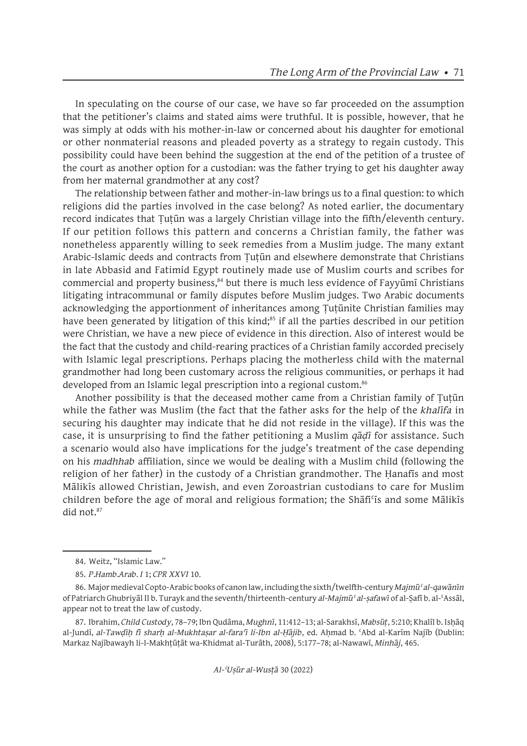In speculating on the course of our case, we have so far proceeded on the assumption that the petitioner's claims and stated aims were truthful. It is possible, however, that he was simply at odds with his mother-in-law or concerned about his daughter for emotional or other nonmaterial reasons and pleaded poverty as a strategy to regain custody. This possibility could have been behind the suggestion at the end of the petition of a trustee of the court as another option for a custodian: was the father trying to get his daughter away from her maternal grandmother at any cost?

The relationship between father and mother-in-law brings us to a final question: to which religions did the parties involved in the case belong? As noted earlier, the documentary record indicates that Ṭuṭūn was a largely Christian village into the fifth/eleventh century. If our petition follows this pattern and concerns a Christian family, the father was nonetheless apparently willing to seek remedies from a Muslim judge. The many extant Arabic-Islamic deeds and contracts from Ṭuṭūn and elsewhere demonstrate that Christians in late Abbasid and Fatimid Egypt routinely made use of Muslim courts and scribes for commercial and property business,<sup>84</sup> but there is much less evidence of Fayyūmī Christians litigating intracommunal or family disputes before Muslim judges. Two Arabic documents acknowledging the apportionment of inheritances among Ṭuṭūnite Christian families may have been generated by litigation of this kind;<sup>85</sup> if all the parties described in our petition were Christian, we have a new piece of evidence in this direction. Also of interest would be the fact that the custody and child-rearing practices of a Christian family accorded precisely with Islamic legal prescriptions. Perhaps placing the motherless child with the maternal grandmother had long been customary across the religious communities, or perhaps it had developed from an Islamic legal prescription into a regional custom.<sup>86</sup>

Another possibility is that the deceased mother came from a Christian family of Ṭuṭūn while the father was Muslim (the fact that the father asks for the help of the *khalīfa* in securing his daughter may indicate that he did not reside in the village). If this was the case, it is unsurprising to find the father petitioning a Muslim *qāḍī* for assistance. Such a scenario would also have implications for the judge's treatment of the case depending on his *madhhab* affiliation, since we would be dealing with a Muslim child (following the religion of her father) in the custody of a Christian grandmother. The Ḥanafīs and most Mālikīs allowed Christian, Jewish, and even Zoroastrian custodians to care for Muslim children before the age of moral and religious formation; the Shāfiʿīs and some Mālikīs did not 87

<sup>84.</sup> Weitz, "Islamic Law."

<sup>85.</sup> *P.Hamb.Arab. I* 1; *CPR XXVI* 10.

<sup>86.</sup> Major medieval Copto-Arabic books of canon law, including the sixth/twelfth-century *Majmūʿ al-qawānīn* of Patriarch Ghubriyāl II b. Turayk and the seventh/thirteenth-century *al-Majmūʿ al-ṣafawī* of al-Ṣafī b. al-ʿAssāl, appear not to treat the law of custody.

<sup>87.</sup> Ibrahim, *Child Custody*, 78–79; Ibn Qudāma, *Mughnī*, 11:412–13; al-Sarakhsī, *Mabsūṭ*, 5:210; Khalīl b. Isḥāq al-Jundī, *al-Tawḍīḥ fī sharḥ al-Mukhtaṣar al-faraʿī li-Ibn al-Ḥājib*, ed. Aḥmad b. ʿAbd al-Karīm Najīb (Dublin: Markaz Najībawayh li-l-Makhṭūṭāt wa-Khidmat al-Turāth, 2008), 5:177–78; al-Nawawī, *Minhāj*, 465.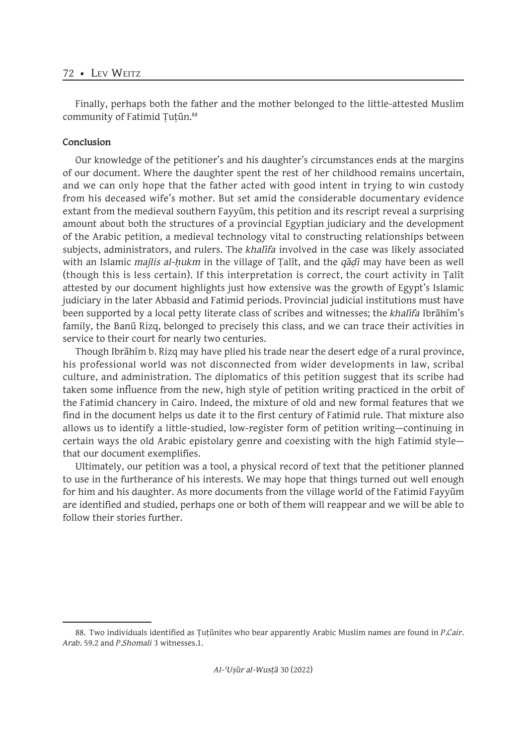Finally, perhaps both the father and the mother belonged to the little-attested Muslim community of Fatimid Tutūn.<sup>88</sup>

# **Conclusion**

Our knowledge of the petitioner's and his daughter's circumstances ends at the margins of our document. Where the daughter spent the rest of her childhood remains uncertain, and we can only hope that the father acted with good intent in trying to win custody from his deceased wife's mother. But set amid the considerable documentary evidence extant from the medieval southern Fayyūm, this petition and its rescript reveal a surprising amount about both the structures of a provincial Egyptian judiciary and the development of the Arabic petition, a medieval technology vital to constructing relationships between subjects, administrators, and rulers. The *khalīfa* involved in the case was likely associated with an Islamic *majlis al-ḥukm* in the village of Ṭalīt, and the *qāḍī* may have been as well (though this is less certain). If this interpretation is correct, the court activity in Ṭalīt attested by our document highlights just how extensive was the growth of Egypt's Islamic judiciary in the later Abbasid and Fatimid periods. Provincial judicial institutions must have been supported by a local petty literate class of scribes and witnesses; the *khalīfa* Ibrāhīm's family, the Banū Rizq, belonged to precisely this class, and we can trace their activities in service to their court for nearly two centuries.

Though Ibrāhīm b. Rizq may have plied his trade near the desert edge of a rural province, his professional world was not disconnected from wider developments in law, scribal culture, and administration. The diplomatics of this petition suggest that its scribe had taken some influence from the new, high style of petition writing practiced in the orbit of the Fatimid chancery in Cairo. Indeed, the mixture of old and new formal features that we find in the document helps us date it to the first century of Fatimid rule. That mixture also allows us to identify a little-studied, low-register form of petition writing—continuing in certain ways the old Arabic epistolary genre and coexisting with the high Fatimid style that our document exemplifies.

Ultimately, our petition was a tool, a physical record of text that the petitioner planned to use in the furtherance of his interests. We may hope that things turned out well enough for him and his daughter. As more documents from the village world of the Fatimid Fayyūm are identified and studied, perhaps one or both of them will reappear and we will be able to follow their stories further.

<sup>88.</sup> Two individuals identified as Ṭuṭūnites who bear apparently Arabic Muslim names are found in *P.Cair. Arab.* 59.2 and *P.Shomali* 3 witnesses.1.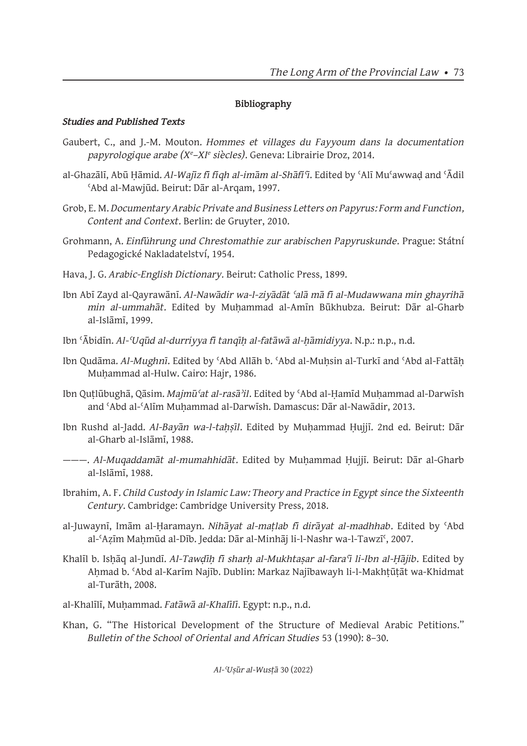# **Bibliography**

# *Studies and Published Texts*

- Gaubert, C., and J.-M. Mouton. *Hommes et villages du Fayyoum dans la documentation papyrologique arabe (Xe –XIe siècles)*. Geneva: Librairie Droz, 2014.
- al-Ghazālī, Abū Ḥāmid. *Al-Wajīz fī fiqh al-imām al-Shāfiʿī*. Edited by ʿAlī Muʿawwaḍ and ʿĀdil ʿAbd al-Mawjūd. Beirut: Dār al-Arqam, 1997.
- Grob, E. M. *Documentary Arabic Private and Business Letters on Papyrus: Form and Function, Content and Context*. Berlin: de Gruyter, 2010.
- Grohmann, A. *Einführung und Chrestomathie zur arabischen Papyruskunde*. Prague: Státní Pedagogické Nakladatelství, 1954.
- Hava, J. G. *Arabic-English Dictionary*. Beirut: Catholic Press, 1899.
- Ibn Abī Zayd al-Qayrawānī. *Al-Nawādir wa-l-ziyādāt ʿalā mā fī al-Mudawwana min ghayrihā min al-ummahāt*. Edited by Muḥammad al-Amīn Būkhubza. Beirut: Dār al-Gharb al-Islāmī, 1999.
- Ibn ʿĀbidīn. *Al-ʿUqūd al-durriyya fī tanqīḥ al-fatāwā al-ḥāmidiyya*. N.p.: n.p., n.d.
- Ibn Qudāma. *Al-Mughnī*. Edited by 'Abd Allāh b. 'Abd al-Muhsin al-Turkī and 'Abd al-Fattāh Muhammad al-Hulw. Cairo: Hajr, 1986.
- Ibn Quṭlūbughā, Qāsim. *Majmūʿat al-rasāʾil*. Edited by ʿAbd al-Ḥamīd Muḥammad al-Darwīsh and ʿAbd al-ʿAlīm Muḥammad al-Darwīsh. Damascus: Dār al-Nawādir, 2013.
- Ibn Rushd al-Jadd. *Al-Bayān wa-l-taḥṣīl*. Edited by Muḥammad Ḥujjī. 2nd ed. Beirut: Dār al-Gharb al-Islāmī, 1988.
- ———. *Al-Muqaddamāt al-mumahhidāt*. Edited by Muḥammad Ḥujjī. Beirut: Dār al-Gharb al-Islāmī, 1988.
- Ibrahim, A. F. *Child Custody in Islamic Law: Theory and Practice in Egypt since the Sixteenth Century*. Cambridge: Cambridge University Press, 2018.
- al-Juwaynī, Imām al-Ḥaramayn. *Nihāyat al-maṭlab fī dirāyat al-madhhab*. Edited by ʿAbd al-'Azīm Mahmūd al-Dīb. Jedda: Dār al-Minhāj li-l-Nashr wa-l-Tawzī<sup>c</sup>, 2007.
- Khalīl b. Isḥāq al-Jundī. *Al-Tawḍīḥ fī sharḥ al-Mukhtaṣar al-faraʿī li-Ibn al-Ḥājib*. Edited by Ahmad b. 'Abd al-Karīm Najīb. Dublin: Markaz Najībawayh li-l-Makhtūtāt wa-Khidmat al-Turāth, 2008.
- al-Khalīlī, Muḥammad. *Fatāwā al-Khalīlī*. Egypt: n.p., n.d.
- Khan, G. "The Historical Development of the Structure of Medieval Arabic Petitions." *Bulletin of the School of Oriental and African Studies* 53 (1990): 8–30.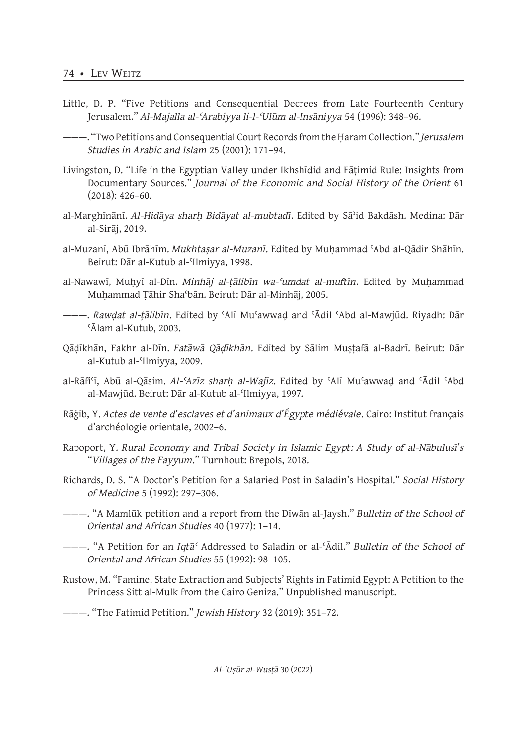- Little, D. P. "Five Petitions and Consequential Decrees from Late Fourteenth Century Jerusalem." *Al-Majalla al-ʿArabiyya li-l-ʿUlūm al-Insāniyya* 54 (1996): 348–96.
- ———. "Two Petitions and Consequential Court Records from the Ḥaram Collection." *Jerusalem Studies in Arabic and Islam* 25 (2001): 171–94.
- Livingston, D. "Life in the Egyptian Valley under Ikhshīdid and Fāṭimid Rule: Insights from Documentary Sources." *Journal of the Economic and Social History of the Orient* 61  $(2018): 426 - 60.$
- al-Marghīnānī. *Al-Hidāya sharḥ Bidāyat al-mubtadī*. Edited by Sāʾid Bakdāsh. Medina: Dār al-Sirāj, 2019.
- al-Muzanī, Abū Ibrāhīm. *Mukhtaṣar al-Muzanī*. Edited by Muḥammad ʿAbd al-Qādir Shāhīn. Beirut: Dār al-Kutub al-ʿIlmiyya, 1998.
- al-Nawawī, Muḥyī al-Dīn. *Minhāj al-ṭālibīn wa-ʿumdat al-muftīn*. Edited by Muḥammad Muḥammad Ṭāhir Shaʿbān. Beirut: Dār al-Minhāj, 2005.
- ———. *Rawḍat al-ṭālibīn*. Edited by ʿAlī Muʿawwaḍ and ʿĀdil ʿAbd al-Mawjūd. Riyadh: Dār ʿĀlam al-Kutub, 2003.
- Qāḍīkhān, Fakhr al-Dīn. *Fatāwā Qāḍīkhān*. Edited by Sālim Muṣṭafā al-Badrī. Beirut: Dār al-Kutub al-ʿIlmiyya, 2009.
- al-Rāfiʿī, Abū al-Qāsim. *Al-ʿAzīz sharḥ al-Wajīz*. Edited by ʿAlī Muʿawwaḍ and ʿĀdil ʿAbd al-Mawjūd. Beirut: Dār al-Kutub al-ʿIlmiyya, 1997.
- Rāġib, Y. *Actes de vente d'esclaves et d'animaux d'Égypte médiévale*. Cairo: Institut français d'archéologie orientale, 2002–6.
- Rapoport, Y. *Rural Economy and Tribal Society in Islamic Egypt: A Study of al-Nābulusī's "Villages of the Fayyum*.*"* Turnhout: Brepols, 2018.
- Richards, D. S. "A Doctor's Petition for a Salaried Post in Saladin's Hospital." *Social History of Medicine* 5 (1992): 297–306.
- ———. "A Mamlūk petition and a report from the Dīwān al-Jaysh." *Bulletin of the School of Oriental and African Studies* 40 (1977): 1–14.
- ———. "A Petition for an *Iqtāʿ* Addressed to Saladin or al-ʿĀdil." *Bulletin of the School of Oriental and African Studies* 55 (1992): 98–105.
- Rustow, M. "Famine, State Extraction and Subjects' Rights in Fatimid Egypt: A Petition to the Princess Sitt al-Mulk from the Cairo Geniza." Unpublished manuscript.
- ———. "The Fatimid Petition." *Jewish History* 32 (2019): 351–72.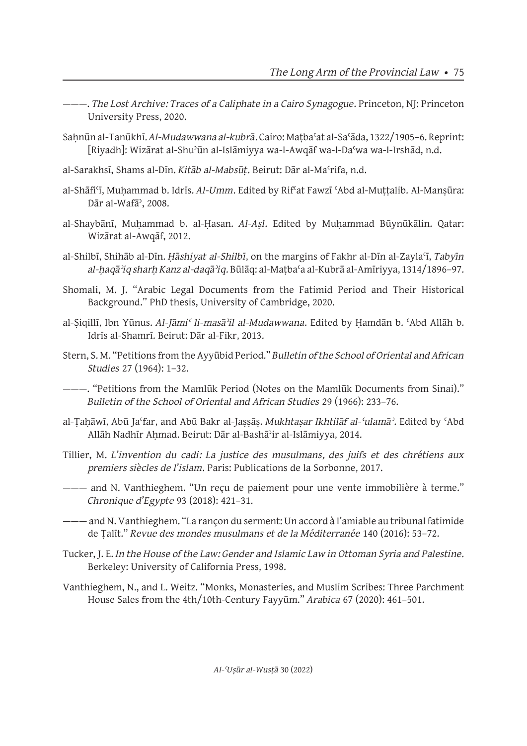- ———. *The Lost Archive: Traces of a Caliphate in a Cairo Synagogue*. Princeton, NJ: Princeton University Press, 2020.
- Saḥnūn al-Tanūkhī. *Al-Mudawwana al-kubrā*. Cairo: Maṭbaʿat al-Saʿāda, 1322/1905–6. Reprint: [Riyadh]: Wizārat al-Shuʾūn al-Islāmiyya wa-l-Awqāf wa-l-Daʿwa wa-l-Irshād, n.d.
- al-Sarakhsī, Shams al-Dīn. *Kitāb al-Mabsūṭ*. Beirut: Dār al-Maʿrifa, n.d.
- al-Shāfiʿī, Muḥammad b. Idrīs. *Al-Umm*. Edited by Rifʿat Fawzī ʿAbd al-Muṭṭalib. Al-Manṣūra: Dār al-Wafāʾ, 2008.
- al-Shaybānī, Muḥammad b. al-Ḥasan. *Al-Aṣl*. Edited by Muḥammad Būynūkālin. Qatar: Wizārat al-Awqāf, 2012.
- al-Shilbī, Shihāb al-Dīn. *Ḥāshiyat al-Shilbī*, on the margins of Fakhr al-Dīn al-Zaylaʿī, *Tabyīn al-ḥaqāʾiq sharḥ Kanz al-daqāʾiq*. Būlāq: al-Maṭbaʿa al-Kubrā al-Amīriyya, 1314/1896–97.
- Shomali, M. J. "Arabic Legal Documents from the Fatimid Period and Their Historical Background." PhD thesis, University of Cambridge, 2020.
- al-Ṣiqillī, Ibn Yūnus. *Al-Jāmiʿ li-masāʾil al-Mudawwana*. Edited by Ḥamdān b. ʿAbd Allāh b. Idrīs al-Shamrī. Beirut: Dār al-Fikr, 2013.
- Stern, S. M. "Petitions from the Ayyūbid Period." *Bulletin of the School of Oriental and African Studies* 27 (1964): 1–32.
- ———. "Petitions from the Mamlūk Period (Notes on the Mamlūk Documents from Sinai)." *Bulletin of the School of Oriental and African Studies* 29 (1966): 233–76.
- al-Ṭaḥāwī, Abū Jaʿfar, and Abū Bakr al-Jaṣṣāṣ. *Mukhtaṣar Ikhtilāf al-ʿulamāʾ*. Edited by ʿAbd Allāh Nadhīr Ahmad. Beirut: Dār al-Bashā<sup>3</sup>ir al-Islāmiyya, 2014.
- Tillier, M. *L'invention du cadi: La justice des musulmans, des juifs et des chrétiens aux premiers siècles de l'islam*. Paris: Publications de la Sorbonne, 2017.
- ——— and N. Vanthieghem. "Un reçu de paiement pour une vente immobilière à terme." *Chronique d'Egypte* 93 (2018): 421–31.
- ——— and N. Vanthieghem. "La rançon du serment: Un accord à l'amiable au tribunal fatimide de Ṭalīt." *Revue des mondes musulmans et de la Méditerranée* 140 (2016): 53–72.
- Tucker, J. E. *In the House of the Law: Gender and Islamic Law in Ottoman Syria and Palestine*. Berkeley: University of California Press, 1998.
- Vanthieghem, N., and L. Weitz. "Monks, Monasteries, and Muslim Scribes: Three Parchment House Sales from the 4th/10th-Century Fayyūm." *Arabica* 67 (2020): 461–501.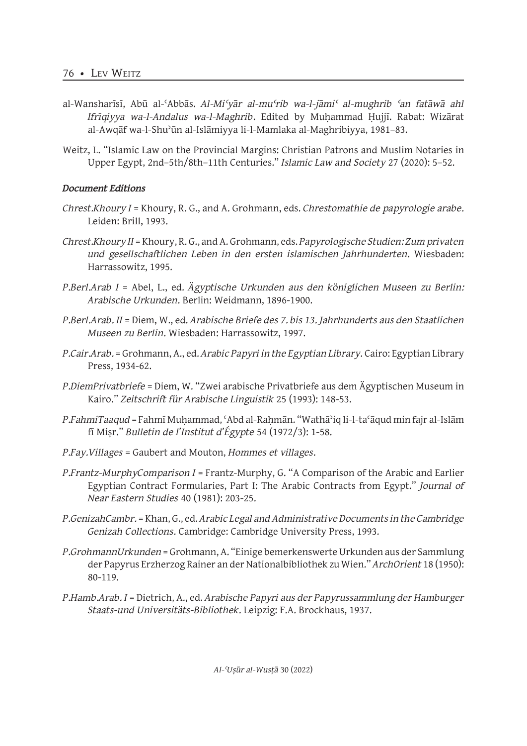- al-Wansharīsī, Abū al-ʿAbbās. *Al-Miʿyār al-muʿrib wa-l-jāmiʿ al-mughrib ʿan fatāwā ahl Ifrīqiyya wa-l-Andalus wa-l-Maghrib*. Edited by Muḥammad Ḥujjī. Rabat: Wizārat al-Awqāf wa-l-Shuʾūn al-Islāmiyya li-l-Mamlaka al-Maghribiyya, 1981–83.
- Weitz, L. "Islamic Law on the Provincial Margins: Christian Patrons and Muslim Notaries in Upper Egypt, 2nd–5th/8th–11th Centuries." *Islamic Law and Society* 27 (2020): 5–52.

# *Document Editions*

- *Chrest.Khoury I* = Khoury, R. G., and A. Grohmann, eds. *Chrestomathie de papyrologie arabe*. Leiden: Brill, 1993.
- *Chrest.Khoury II* = Khoury, R. G., and A. Grohmann, eds. *Papyrologische Studien: Zum privaten und gesellschaftlichen Leben in den ersten islamischen Jahrhunderten*. Wiesbaden: Harrassowitz, 1995.
- *P.Berl.Arab I* = Abel, L., ed. *Ägyptische Urkunden aus den königlichen Museen zu Berlin: Arabische Urkunden*. Berlin: Weidmann, 1896-1900.
- *P.Berl.Arab. II* = Diem, W., ed. *Arabische Briefe des 7. bis 13. Jahrhunderts aus den Staatlichen Museen zu Berlin*. Wiesbaden: Harrassowitz, 1997.
- *P.Cair.Arab.* = Grohmann, A., ed. *Arabic Papyri in the Egyptian Library*. Cairo: Egyptian Library Press, 1934-62.
- *P.DiemPrivatbriefe* = Diem, W. "Zwei arabische Privatbriefe aus dem Ägyptischen Museum in Kairo." *Zeitschrift für Arabische Linguistik* 25 (1993): 148-53.
- *P.FahmiTaaqud* = Fahmī Muḥammad, ʿAbd al-Raḥmān. "Wathāʾiq li-l-taʿāqud min fajr al-Islām fī Miṣr." *Bulletin de l'Institut d'Égypte* 54 (1972/3): 1-58.
- *P.Fay.Villages* = Gaubert and Mouton, *Hommes et villages*.
- *P.Frantz-MurphyComparison I* = Frantz-Murphy, G. "A Comparison of the Arabic and Earlier Egyptian Contract Formularies, Part I: The Arabic Contracts from Egypt." *Journal of Near Eastern Studies* 40 (1981): 203-25.
- *P.GenizahCambr.* = Khan, G., ed. *Arabic Legal and Administrative Documents in the Cambridge Genizah Collections*. Cambridge: Cambridge University Press, 1993.
- *P.GrohmannUrkunden* = Grohmann, A. "Einige bemerkenswerte Urkunden aus der Sammlung der Papyrus Erzherzog Rainer an der Nationalbibliothek zu Wien." *ArchOrient* 18 (1950): 80-119.
- *P.Hamb.Arab. I* = Dietrich, A., ed. *Arabische Papyri aus der Papyrussammlung der Hamburger Staats-und Universitäts-Bibliothek*. Leipzig: F.A. Brockhaus, 1937.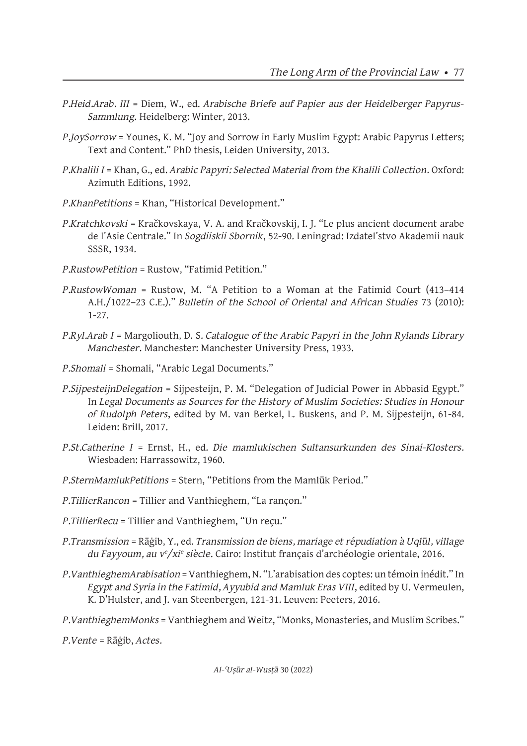- *P.Heid.Arab. III* = Diem, W., ed. *Arabische Briefe auf Papier aus der Heidelberger Papyrus-Sammlung*. Heidelberg: Winter, 2013.
- *P.JoySorrow* = Younes, K. M. "Joy and Sorrow in Early Muslim Egypt: Arabic Papyrus Letters; Text and Content." PhD thesis, Leiden University, 2013.
- *P.Khalili I* = Khan, G., ed. *Arabic Papyri: Selected Material from the Khalili Collection*. Oxford: Azimuth Editions, 1992.
- *P.KhanPetitions* = Khan, "Historical Development."
- *P.Kratchkovski* = Kračkovskaya, V. A. and Kračkovskij, I. J. "Le plus ancient document arabe de l'Asie Centrale." In *Sogdiiskii Sbornik*, 52-90. Leningrad: Izdatel'stvo Akademii nauk SSSR, 1934.
- *P.RustowPetition* = Rustow, "Fatimid Petition."
- *P.RustowWoman* = Rustow, M. "A Petition to a Woman at the Fatimid Court (413–414 A.H./1022–23 C.E.)." *Bulletin of the School of Oriental and African Studies* 73 (2010): 1-27.
- *P.Ryl.Arab I* = Margoliouth, D. S. *Catalogue of the Arabic Papyri in the John Rylands Library Manchester*. Manchester: Manchester University Press, 1933.
- *P.Shomali* = Shomali, "Arabic Legal Documents."
- *P.SijpesteijnDelegation* = Sijpesteijn, P. M. "Delegation of Judicial Power in Abbasid Egypt." In *Legal Documents as Sources for the History of Muslim Societies: Studies in Honour of Rudolph Peters*, edited by M. van Berkel, L. Buskens, and P. M. Sijpesteijn, 61-84. Leiden: Brill, 2017.
- *P.St.Catherine I* = Ernst, H., ed. *Die mamlukischen Sultansurkunden des Sinai-Klosters*. Wiesbaden: Harrassowitz, 1960.
- *P.SternMamlukPetitions* = Stern, "Petitions from the Mamlūk Period."
- *P.TillierRancon* = Tillier and Vanthieghem, "La rançon."
- *P.TillierRecu* = Tillier and Vanthieghem, "Un reçu."
- *P.Transmission* = Rāġib, Y., ed. *Transmission de biens, mariage et répudiation à Uqlūl, village du Fayyoum, au ve /xie siècle*. Cairo: Institut français d'archéologie orientale, 2016.
- *P.VanthieghemArabisation* = Vanthieghem, N. "L'arabisation des coptes: un témoin inédit." In *Egypt and Syria in the Fatimid, Ayyubid and Mamluk Eras VIII*, edited by U. Vermeulen, K. D'Hulster, and J. van Steenbergen, 121-31. Leuven: Peeters, 2016.
- *P.VanthieghemMonks* = Vanthieghem and Weitz, "Monks, Monasteries, and Muslim Scribes."
- *P.Vente* = Rāġib, *Actes*.